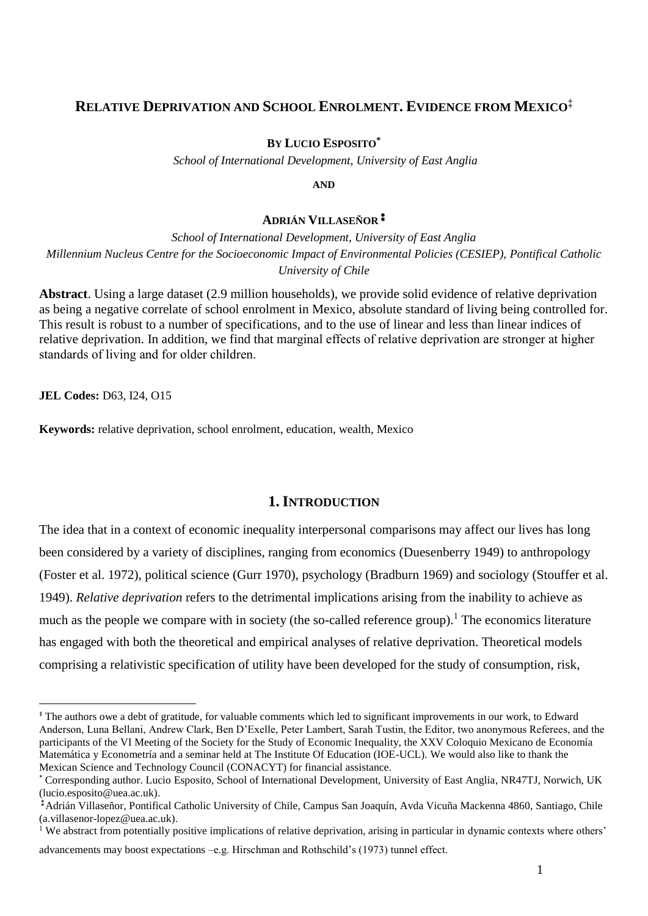# **RELATIVE DEPRIVATION AND SCHOOL ENROLMENT. EVIDENCE FROM MEXICO‡**

### **BY LUCIO ESPOSITO\***

*School of International Development, University of East Anglia*

**AND**

### **ADRIÁN VILLASEÑOR**⁑

*School of International Development, University of East Anglia Millennium Nucleus Centre for the Socioeconomic Impact of Environmental Policies (CESIEP), Pontifical Catholic University of Chile*

**Abstract**. Using a large dataset (2.9 million households), we provide solid evidence of relative deprivation as being a negative correlate of school enrolment in Mexico, absolute standard of living being controlled for. This result is robust to a number of specifications, and to the use of linear and less than linear indices of relative deprivation. In addition, we find that marginal effects of relative deprivation are stronger at higher standards of living and for older children.

**JEL Codes:** D63, I24, O15

1

**Keywords:** relative deprivation, school enrolment, education, wealth, Mexico

### **1.INTRODUCTION**

The idea that in a context of economic inequality interpersonal comparisons may affect our lives has long been considered by a variety of disciplines, ranging from economics (Duesenberry 1949) to anthropology (Foster et al. 1972), political science (Gurr 1970), psychology (Bradburn 1969) and sociology (Stouffer et al. 1949). *Relative deprivation* refers to the detrimental implications arising from the inability to achieve as much as the people we compare with in society (the so-called reference group).<sup>1</sup> The economics literature has engaged with both the theoretical and empirical analyses of relative deprivation. Theoretical models comprising a relativistic specification of utility have been developed for the study of consumption, risk,

<sup>‡</sup> The authors owe a debt of gratitude, for valuable comments which led to significant improvements in our work, to Edward Anderson, Luna Bellani, Andrew Clark, Ben D'Exelle, Peter Lambert, Sarah Tustin, the Editor, two anonymous Referees, and the participants of the VI Meeting of the Society for the Study of Economic Inequality, the XXV Coloquio Mexicano de Economía Matemática y Econometría and a seminar held at The Institute Of Education (IOE-UCL). We would also like to thank the Mexican Science and Technology Council (CONACYT) for financial assistance.

<sup>\*</sup> Corresponding author. Lucio Esposito, School of International Development, University of East Anglia, NR47TJ, Norwich, UK (lucio.esposito@uea.ac.uk).

<sup>⁑</sup>Adrián Villaseñor, Pontifical Catholic University of Chile, Campus San Joaquín, Avda Vicuña Mackenna 4860, Santiago, Chile (a.villasenor-lopez@uea.ac.uk).

<sup>&</sup>lt;sup>1</sup> We abstract from potentially positive implications of relative deprivation, arising in particular in dynamic contexts where others' advancements may boost expectations –e.g. Hirschman and Rothschild's (1973) tunnel effect.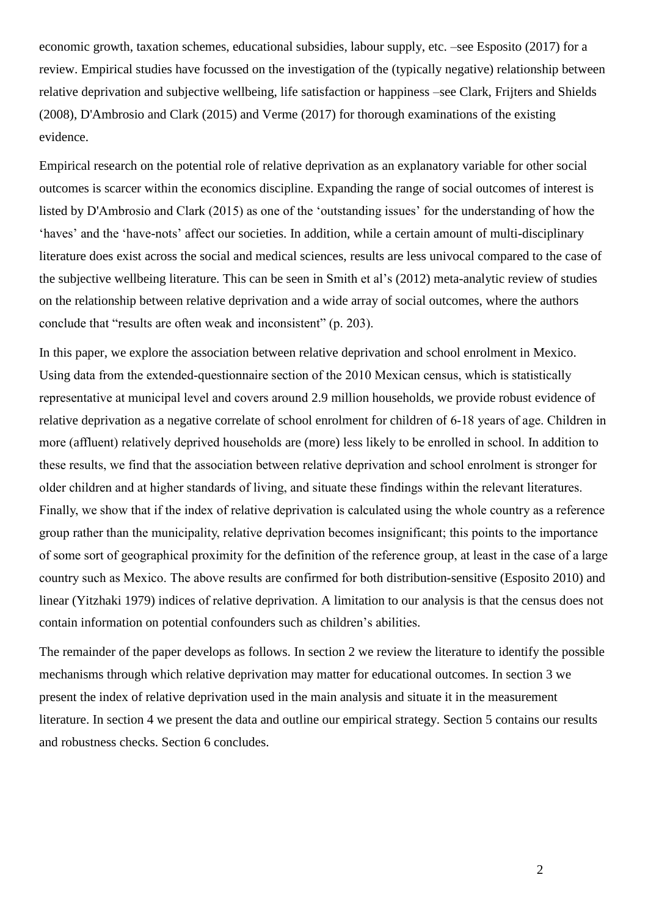economic growth, taxation schemes, educational subsidies, labour supply, etc. –see Esposito (2017) for a review. Empirical studies have focussed on the investigation of the (typically negative) relationship between relative deprivation and subjective wellbeing, life satisfaction or happiness –see Clark, Frijters and Shields (2008), D'Ambrosio and Clark (2015) and Verme (2017) for thorough examinations of the existing evidence.

Empirical research on the potential role of relative deprivation as an explanatory variable for other social outcomes is scarcer within the economics discipline. Expanding the range of social outcomes of interest is listed by D'Ambrosio and Clark (2015) as one of the 'outstanding issues' for the understanding of how the 'haves' and the 'have-nots' affect our societies. In addition, while a certain amount of multi-disciplinary literature does exist across the social and medical sciences, results are less univocal compared to the case of the subjective wellbeing literature. This can be seen in Smith et al's (2012) meta-analytic review of studies on the relationship between relative deprivation and a wide array of social outcomes, where the authors conclude that "results are often weak and inconsistent" (p. 203).

In this paper, we explore the association between relative deprivation and school enrolment in Mexico. Using data from the extended-questionnaire section of the 2010 Mexican census, which is statistically representative at municipal level and covers around 2.9 million households, we provide robust evidence of relative deprivation as a negative correlate of school enrolment for children of 6-18 years of age. Children in more (affluent) relatively deprived households are (more) less likely to be enrolled in school. In addition to these results, we find that the association between relative deprivation and school enrolment is stronger for older children and at higher standards of living, and situate these findings within the relevant literatures. Finally, we show that if the index of relative deprivation is calculated using the whole country as a reference group rather than the municipality, relative deprivation becomes insignificant; this points to the importance of some sort of geographical proximity for the definition of the reference group, at least in the case of a large country such as Mexico. The above results are confirmed for both distribution-sensitive (Esposito 2010) and linear (Yitzhaki 1979) indices of relative deprivation. A limitation to our analysis is that the census does not contain information on potential confounders such as children's abilities.

The remainder of the paper develops as follows. In section 2 we review the literature to identify the possible mechanisms through which relative deprivation may matter for educational outcomes. In section 3 we present the index of relative deprivation used in the main analysis and situate it in the measurement literature. In section 4 we present the data and outline our empirical strategy. Section 5 contains our results and robustness checks. Section 6 concludes.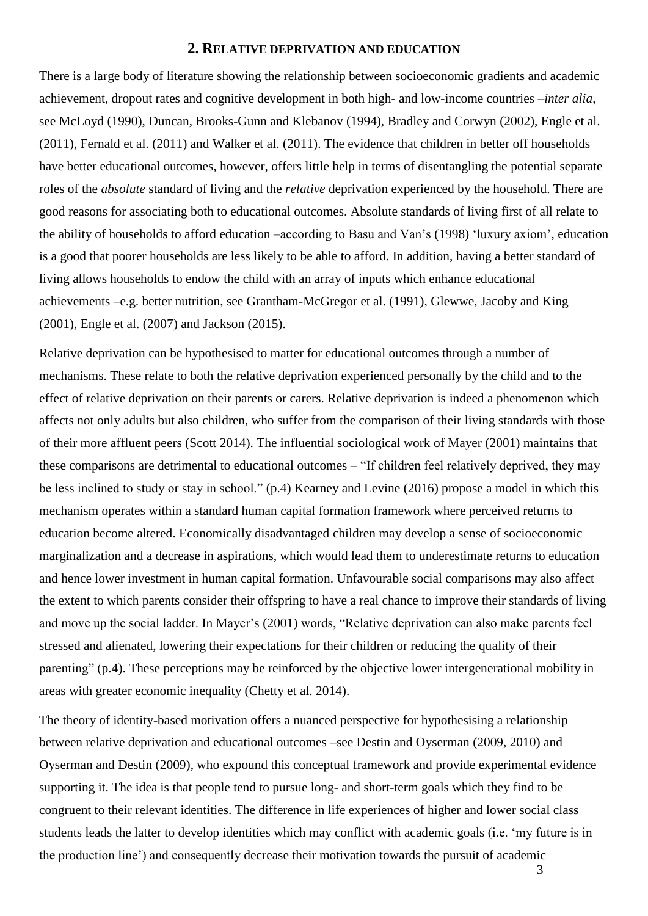### **2. RELATIVE DEPRIVATION AND EDUCATION**

There is a large body of literature showing the relationship between socioeconomic gradients and academic achievement, dropout rates and cognitive development in both high- and low-income countries –*inter alia*, see McLoyd (1990), Duncan, Brooks-Gunn and Klebanov (1994), Bradley and Corwyn (2002), Engle et al. (2011), Fernald et al. (2011) and Walker et al. (2011). The evidence that children in better off households have better educational outcomes, however, offers little help in terms of disentangling the potential separate roles of the *absolute* standard of living and the *relative* deprivation experienced by the household. There are good reasons for associating both to educational outcomes. Absolute standards of living first of all relate to the ability of households to afford education –according to Basu and Van's (1998) 'luxury axiom', education is a good that poorer households are less likely to be able to afford. In addition, having a better standard of living allows households to endow the child with an array of inputs which enhance educational achievements –e.g. better nutrition, see Grantham-McGregor et al. (1991), Glewwe, Jacoby and King (2001), Engle et al. (2007) and Jackson (2015).

Relative deprivation can be hypothesised to matter for educational outcomes through a number of mechanisms. These relate to both the relative deprivation experienced personally by the child and to the effect of relative deprivation on their parents or carers. Relative deprivation is indeed a phenomenon which affects not only adults but also children, who suffer from the comparison of their living standards with those of their more affluent peers (Scott 2014). The influential sociological work of Mayer (2001) maintains that these comparisons are detrimental to educational outcomes – "If children feel relatively deprived, they may be less inclined to study or stay in school." (p.4) Kearney and Levine (2016) propose a model in which this mechanism operates within a standard human capital formation framework where perceived returns to education become altered. Economically disadvantaged children may develop a sense of socioeconomic marginalization and a decrease in aspirations, which would lead them to underestimate returns to education and hence lower investment in human capital formation. Unfavourable social comparisons may also affect the extent to which parents consider their offspring to have a real chance to improve their standards of living and move up the social ladder. In Mayer's (2001) words, "Relative deprivation can also make parents feel stressed and alienated, lowering their expectations for their children or reducing the quality of their parenting" (p.4). These perceptions may be reinforced by the objective lower intergenerational mobility in areas with greater economic inequality (Chetty et al. 2014).

The theory of identity-based motivation offers a nuanced perspective for hypothesising a relationship between relative deprivation and educational outcomes –see Destin and Oyserman (2009, 2010) and Oyserman and Destin (2009), who expound this conceptual framework and provide experimental evidence supporting it. The idea is that people tend to pursue long- and short-term goals which they find to be congruent to their relevant identities. The difference in life experiences of higher and lower social class students leads the latter to develop identities which may conflict with academic goals (i.e. 'my future is in the production line') and consequently decrease their motivation towards the pursuit of academic

3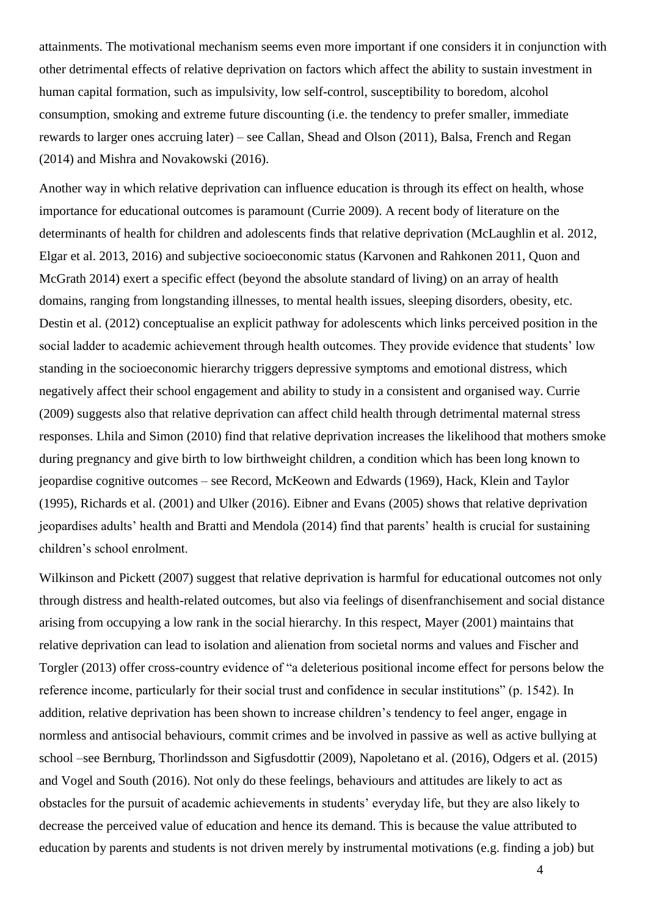attainments. The motivational mechanism seems even more important if one considers it in conjunction with other detrimental effects of relative deprivation on factors which affect the ability to sustain investment in human capital formation, such as impulsivity, low self-control, susceptibility to boredom, alcohol consumption, smoking and extreme future discounting (i.e. the tendency to prefer smaller, immediate rewards to larger ones accruing later) – see Callan, Shead and Olson (2011), Balsa, French and Regan (2014) and Mishra and Novakowski (2016).

Another way in which relative deprivation can influence education is through its effect on health, whose importance for educational outcomes is paramount (Currie 2009). A recent body of literature on the determinants of health for children and adolescents finds that relative deprivation (McLaughlin et al. 2012, Elgar et al. 2013, 2016) and subjective socioeconomic status (Karvonen and Rahkonen 2011, Quon and McGrath 2014) exert a specific effect (beyond the absolute standard of living) on an array of health domains, ranging from longstanding illnesses, to mental health issues, sleeping disorders, obesity, etc. Destin et al. (2012) conceptualise an explicit pathway for adolescents which links perceived position in the social ladder to academic achievement through health outcomes. They provide evidence that students' low standing in the socioeconomic hierarchy triggers depressive symptoms and emotional distress, which negatively affect their school engagement and ability to study in a consistent and organised way. Currie (2009) suggests also that relative deprivation can affect child health through detrimental maternal stress responses. Lhila and Simon (2010) find that relative deprivation increases the likelihood that mothers smoke during pregnancy and give birth to low birthweight children, a condition which has been long known to jeopardise cognitive outcomes – see Record, McKeown and Edwards (1969), Hack, Klein and Taylor (1995), Richards et al. (2001) and Ulker (2016). Eibner and Evans (2005) shows that relative deprivation jeopardises adults' health and Bratti and Mendola (2014) find that parents' health is crucial for sustaining children's school enrolment.

Wilkinson and Pickett (2007) suggest that relative deprivation is harmful for educational outcomes not only through distress and health-related outcomes, but also via feelings of disenfranchisement and social distance arising from occupying a low rank in the social hierarchy. In this respect, Mayer (2001) maintains that relative deprivation can lead to isolation and alienation from societal norms and values and Fischer and Torgler (2013) offer cross-country evidence of "a deleterious positional income effect for persons below the reference income, particularly for their social trust and confidence in secular institutions" (p. 1542). In addition, relative deprivation has been shown to increase children's tendency to feel anger, engage in normless and antisocial behaviours, commit crimes and be involved in passive as well as active bullying at school –see Bernburg, Thorlindsson and Sigfusdottir (2009), Napoletano et al. (2016), Odgers et al. (2015) and Vogel and South (2016). Not only do these feelings, behaviours and attitudes are likely to act as obstacles for the pursuit of academic achievements in students' everyday life, but they are also likely to decrease the perceived value of education and hence its demand. This is because the value attributed to education by parents and students is not driven merely by instrumental motivations (e.g. finding a job) but

4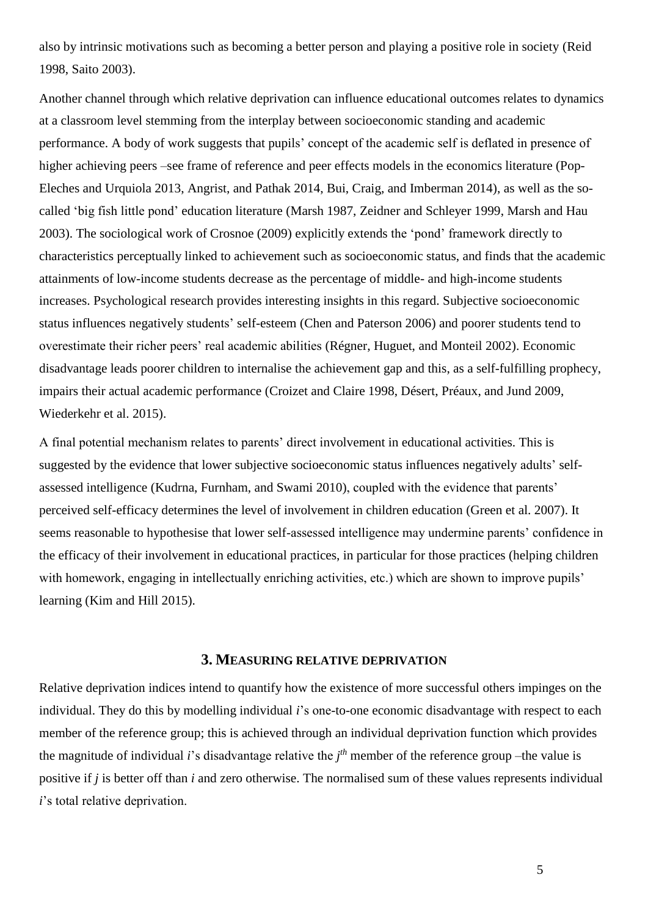also by intrinsic motivations such as becoming a better person and playing a positive role in society (Reid 1998, Saito 2003).

Another channel through which relative deprivation can influence educational outcomes relates to dynamics at a classroom level stemming from the interplay between socioeconomic standing and academic performance. A body of work suggests that pupils' concept of the academic self is deflated in presence of higher achieving peers –see frame of reference and peer effects models in the economics literature (Pop-Eleches and Urquiola 2013, Angrist, and Pathak 2014, Bui, Craig, and Imberman 2014), as well as the socalled 'big fish little pond' education literature (Marsh 1987, Zeidner and Schleyer 1999, Marsh and Hau 2003). The sociological work of Crosnoe (2009) explicitly extends the 'pond' framework directly to characteristics perceptually linked to achievement such as socioeconomic status, and finds that the academic attainments of low-income students decrease as the percentage of middle- and high-income students increases. Psychological research provides interesting insights in this regard. Subjective socioeconomic status influences negatively students' self-esteem (Chen and Paterson 2006) and poorer students tend to overestimate their richer peers' real academic abilities (Régner, Huguet, and Monteil 2002). Economic disadvantage leads poorer children to internalise the achievement gap and this, as a self-fulfilling prophecy, impairs their actual academic performance (Croizet and Claire 1998, Désert, Préaux, and Jund 2009, Wiederkehr et al. 2015).

A final potential mechanism relates to parents' direct involvement in educational activities. This is suggested by the evidence that lower subjective socioeconomic status influences negatively adults' selfassessed intelligence (Kudrna, Furnham, and Swami 2010), coupled with the evidence that parents' perceived self-efficacy determines the level of involvement in children education (Green et al. 2007). It seems reasonable to hypothesise that lower self-assessed intelligence may undermine parents' confidence in the efficacy of their involvement in educational practices, in particular for those practices (helping children with homework, engaging in intellectually enriching activities, etc.) which are shown to improve pupils' learning (Kim and Hill 2015).

## **3. MEASURING RELATIVE DEPRIVATION**

Relative deprivation indices intend to quantify how the existence of more successful others impinges on the individual. They do this by modelling individual *i*'s one-to-one economic disadvantage with respect to each member of the reference group; this is achieved through an individual deprivation function which provides the magnitude of individual *i*'s disadvantage relative the *j th* member of the reference group –the value is positive if *j* is better off than *i* and zero otherwise. The normalised sum of these values represents individual *i*'s total relative deprivation.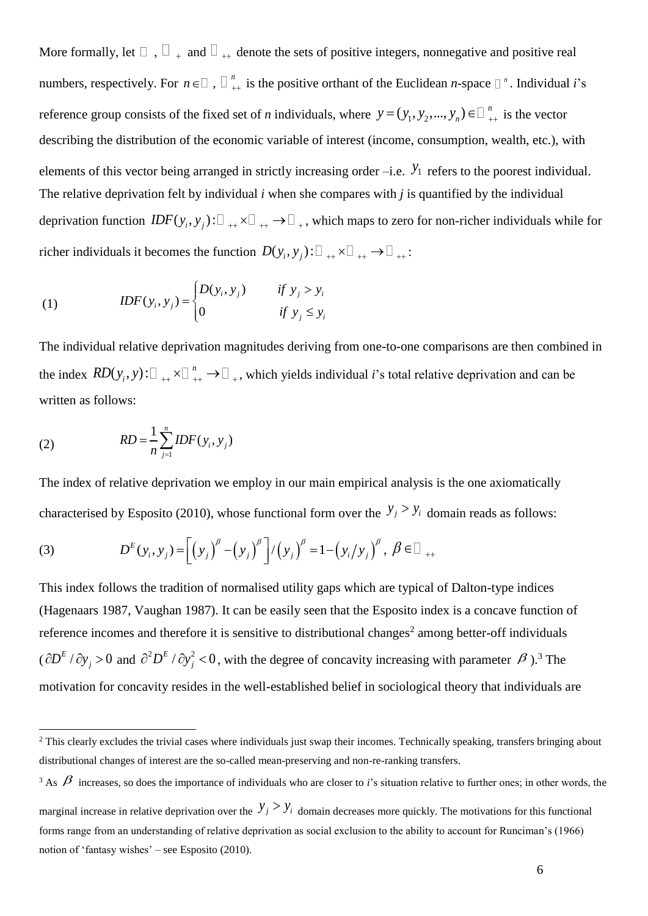More formally, let  $\Box$ ,  $\Box$ , and  $\Box$ , denote the sets of positive integers, nonnegative and positive real numbers, respectively. For  $n \in \mathbb{Z}$ ,  $\mathbb{Z}_+^n$  $\int_{+}^{\pi}$  is the positive orthant of the Euclidean *n*-space  $\Box$ <sup>*n*</sup>. Individual *i*'s reference group consists of the fixed set of *n* individuals, where  $y = (y_1, y_2, ..., y_n) \in \mathbb{R}^n_{++}$  is the vector describing the distribution of the economic variable of interest (income, consumption, wealth, etc.), with elements of this vector being arranged in strictly increasing order  $-i.e.$   $y_1$  refers to the poorest individual. The relative deprivation felt by individual *i* when she compares with *j* is quantified by the individual deprivation function  $IDF(y_i, y_j): \Box_{++} \times \Box_{++} \to \Box_{+}$ , which maps to zero for non-richer individuals while for richer individuals it becomes the function  $D(y_i, y_j): \Box_{++} \times \Box_{++} \to \Box_{++}$ :

(1) 
$$
IDF(y_i, y_j) = \begin{cases} D(y_i, y_j) & \text{if } y_j > y_i \\ 0 & \text{if } y_j \le y_i \end{cases}
$$

The individual relative deprivation magnitudes deriving from one-to-one comparisons are then combined in the index  $RD(y_i, y)$ :  $\Box$  <sub>++</sub>  $\times \Box$   $\Box$  +, which yields individual *i*'s total relative deprivation and can be written as follows:

(2) 
$$
RD = \frac{1}{n} \sum_{j=1}^{n} IDF(y_i, y_j)
$$

<u>.</u>

The index of relative deprivation we employ in our main empirical analysis is the one axiomatically

characterised by Esposito (2010), whose functional form over the 
$$
y_j > y_i
$$
 domain reads as follows:  
\n(3) 
$$
D^{E}(y_i, y_j) = \left[ (y_j)^{\beta} - (y_j)^{\beta} \right] / (y_j)^{\beta} = 1 - (y_i/y_j)^{\beta}, \ \beta \in \square_{++}
$$

This index follows the tradition of normalised utility gaps which are typical of Dalton-type indices (Hagenaars 1987, Vaughan 1987). It can be easily seen that the Esposito index is a concave function of reference incomes and therefore it is sensitive to distributional changes<sup>2</sup> among better-off individuals  $(\partial D^E/\partial y_j > 0$  and  $\partial^2 D^E/\partial y_j^2 < 0$ , with the degree of concavity increasing with parameter  $\beta$ ).<sup>3</sup> The motivation for concavity resides in the well-established belief in sociological theory that individuals are

<sup>&</sup>lt;sup>2</sup> This clearly excludes the trivial cases where individuals just swap their incomes. Technically speaking, transfers bringing about distributional changes of interest are the so-called mean-preserving and non-re-ranking transfers.

<sup>&</sup>lt;sup>3</sup> As  $\beta$  increases, so does the importance of individuals who are closer to *i*'s situation relative to further ones; in other words, the marginal increase in relative deprivation over the  $y_j > y_i$  domain decreases more quickly. The motivations for this functional forms range from an understanding of relative deprivation as social exclusion to the ability to account for Runciman's (1966) notion of 'fantasy wishes' – see Esposito (2010).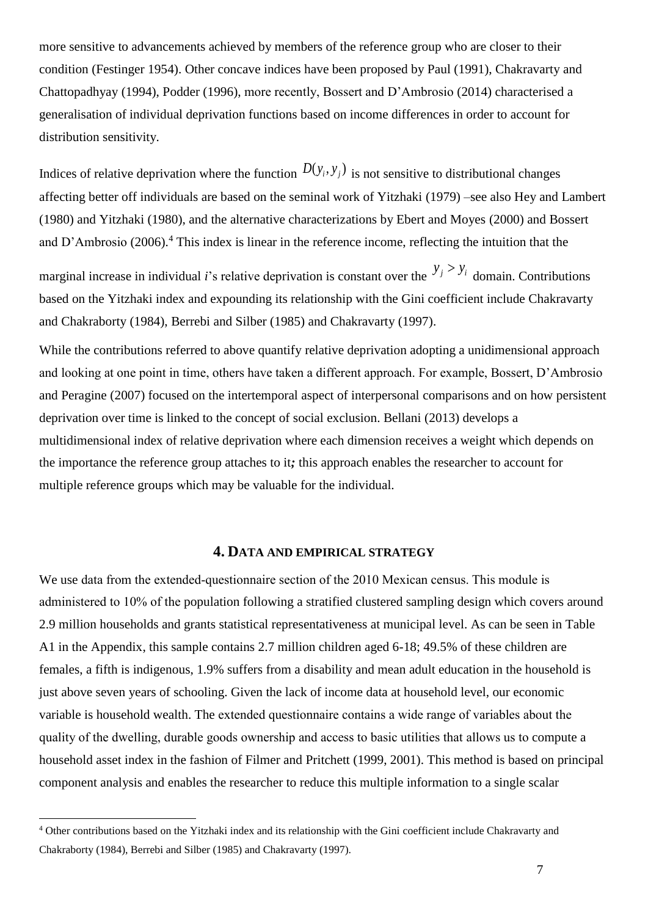more sensitive to advancements achieved by members of the reference group who are closer to their condition (Festinger 1954). Other concave indices have been proposed by Paul (1991), Chakravarty and Chattopadhyay (1994), Podder (1996), more recently, Bossert and D'Ambrosio (2014) characterised a generalisation of individual deprivation functions based on income differences in order to account for distribution sensitivity.

Indices of relative deprivation where the function  $D(y_i, y_j)$  is not sensitive to distributional changes affecting better off individuals are based on the seminal work of Yitzhaki (1979) –see also Hey and Lambert (1980) and Yitzhaki (1980), and the alternative characterizations by Ebert and Moyes (2000) and Bossert and D'Ambrosio (2006). <sup>4</sup> This index is linear in the reference income, reflecting the intuition that the

marginal increase in individual *i*'s relative deprivation is constant over the  $y_j > y_i$  domain. Contributions based on the Yitzhaki index and expounding its relationship with the Gini coefficient include Chakravarty and Chakraborty (1984), Berrebi and Silber (1985) and Chakravarty (1997).

While the contributions referred to above quantify relative deprivation adopting a unidimensional approach and looking at one point in time, others have taken a different approach. For example, Bossert, D'Ambrosio and Peragine (2007) focused on the intertemporal aspect of interpersonal comparisons and on how persistent deprivation over time is linked to the concept of social exclusion. Bellani (2013) develops a multidimensional index of relative deprivation where each dimension receives a weight which depends on the importance the reference group attaches to it*;* this approach enables the researcher to account for multiple reference groups which may be valuable for the individual.

# **4. DATA AND EMPIRICAL STRATEGY**

We use data from the extended-questionnaire section of the 2010 Mexican census. This module is administered to 10% of the population following a stratified clustered sampling design which covers around 2.9 million households and grants statistical representativeness at municipal level. As can be seen in Table A1 in the Appendix, this sample contains 2.7 million children aged 6-18; 49.5% of these children are females, a fifth is indigenous, 1.9% suffers from a disability and mean adult education in the household is just above seven years of schooling. Given the lack of income data at household level, our economic variable is household wealth. The extended questionnaire contains a wide range of variables about the quality of the dwelling, durable goods ownership and access to basic utilities that allows us to compute a household asset index in the fashion of Filmer and Pritchett (1999, 2001). This method is based on principal component analysis and enables the researcher to reduce this multiple information to a single scalar

<u>.</u>

<sup>4</sup> Other contributions based on the Yitzhaki index and its relationship with the Gini coefficient include Chakravarty and Chakraborty (1984), Berrebi and Silber (1985) and Chakravarty (1997).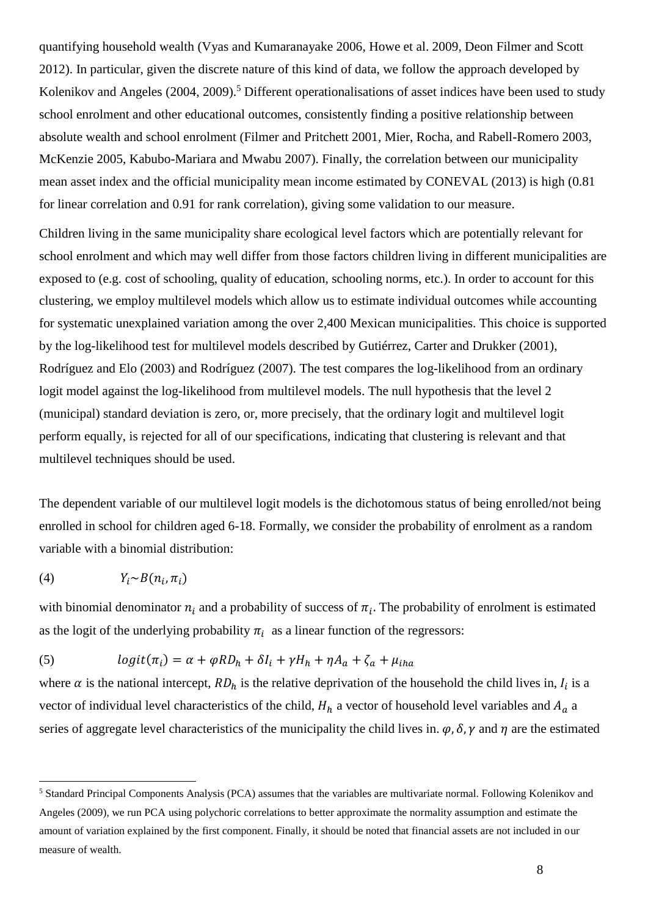quantifying household wealth (Vyas and Kumaranayake 2006, Howe et al. 2009, Deon Filmer and Scott 2012). In particular, given the discrete nature of this kind of data, we follow the approach developed by Kolenikov and Angeles (2004, 2009).<sup>5</sup> Different operationalisations of asset indices have been used to study school enrolment and other educational outcomes, consistently finding a positive relationship between absolute wealth and school enrolment (Filmer and Pritchett 2001, Mier, Rocha, and Rabell-Romero 2003, McKenzie 2005, Kabubo-Mariara and Mwabu 2007). Finally, the correlation between our municipality mean asset index and the official municipality mean income estimated by CONEVAL (2013) is high (0.81 for linear correlation and 0.91 for rank correlation), giving some validation to our measure.

Children living in the same municipality share ecological level factors which are potentially relevant for school enrolment and which may well differ from those factors children living in different municipalities are exposed to (e.g. cost of schooling, quality of education, schooling norms, etc.). In order to account for this clustering, we employ multilevel models which allow us to estimate individual outcomes while accounting for systematic unexplained variation among the over 2,400 Mexican municipalities. This choice is supported by the log-likelihood test for multilevel models described by Gutiérrez, Carter and Drukker (2001), Rodríguez and Elo (2003) and Rodríguez (2007). The test compares the log-likelihood from an ordinary logit model against the log-likelihood from multilevel models. The null hypothesis that the level 2 (municipal) standard deviation is zero, or, more precisely, that the ordinary logit and multilevel logit perform equally, is rejected for all of our specifications, indicating that clustering is relevant and that multilevel techniques should be used.

The dependent variable of our multilevel logit models is the dichotomous status of being enrolled/not being enrolled in school for children aged 6-18. Formally, we consider the probability of enrolment as a random variable with a binomial distribution:

# (4)  $Y_i \sim B(n_i, \pi_i)$

<u>.</u>

with binomial denominator  $n_i$  and a probability of success of  $\pi_i$ . The probability of enrolment is estimated as the logit of the underlying probability  $\pi_i$  as a linear function of the regressors:

(5) 
$$
logit(\pi_i) = \alpha + \varphi R D_h + \delta I_i + \gamma H_h + \eta A_a + \zeta_a + \mu_{iha}
$$

where  $\alpha$  is the national intercept,  $RD_h$  is the relative deprivation of the household the child lives in,  $I_i$  is a vector of individual level characteristics of the child,  $H_h$  a vector of household level variables and  $A_a$  a series of aggregate level characteristics of the municipality the child lives in.  $\varphi$ ,  $\delta$ ,  $\gamma$  and  $\eta$  are the estimated

<sup>5</sup> Standard Principal Components Analysis (PCA) assumes that the variables are multivariate normal. Following Kolenikov and Angeles (2009), we run PCA using polychoric correlations to better approximate the normality assumption and estimate the amount of variation explained by the first component. Finally, it should be noted that financial assets are not included in our measure of wealth.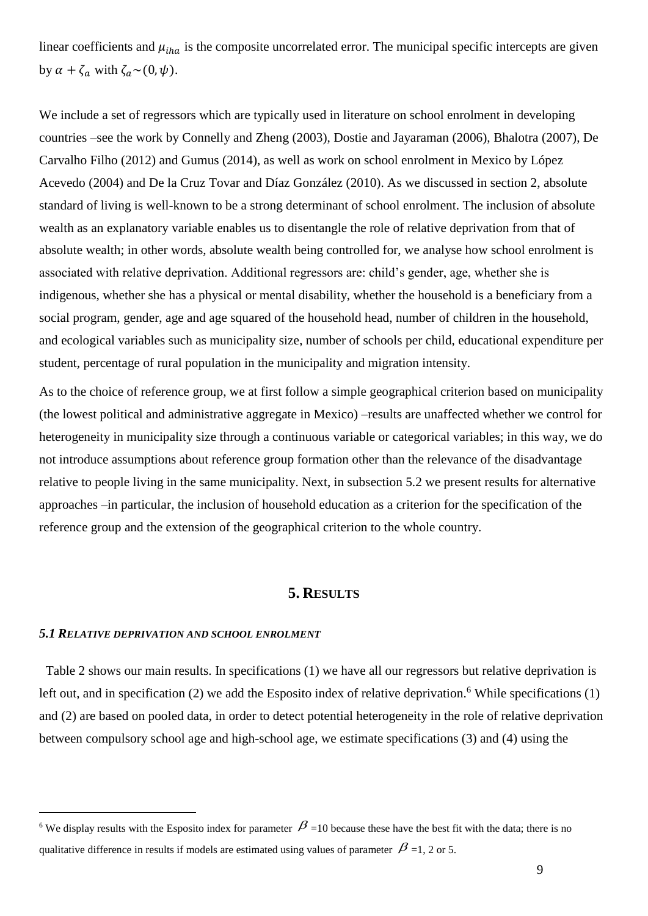linear coefficients and  $\mu_{iha}$  is the composite uncorrelated error. The municipal specific intercepts are given by  $\alpha + \zeta_a$  with  $\zeta_a \sim (0, \psi)$ .

We include a set of regressors which are typically used in literature on school enrolment in developing countries –see the work by Connelly and Zheng (2003), Dostie and Jayaraman (2006), Bhalotra (2007), De Carvalho Filho (2012) and Gumus (2014), as well as work on school enrolment in Mexico by López Acevedo (2004) and De la Cruz Tovar and Díaz González (2010). As we discussed in section 2, absolute standard of living is well-known to be a strong determinant of school enrolment. The inclusion of absolute wealth as an explanatory variable enables us to disentangle the role of relative deprivation from that of absolute wealth; in other words, absolute wealth being controlled for, we analyse how school enrolment is associated with relative deprivation. Additional regressors are: child's gender, age, whether she is indigenous, whether she has a physical or mental disability, whether the household is a beneficiary from a social program, gender, age and age squared of the household head, number of children in the household, and ecological variables such as municipality size, number of schools per child, educational expenditure per student, percentage of rural population in the municipality and migration intensity.

As to the choice of reference group, we at first follow a simple geographical criterion based on municipality (the lowest political and administrative aggregate in Mexico) –results are unaffected whether we control for heterogeneity in municipality size through a continuous variable or categorical variables; in this way, we do not introduce assumptions about reference group formation other than the relevance of the disadvantage relative to people living in the same municipality. Next, in subsection 5.2 we present results for alternative approaches –in particular, the inclusion of household education as a criterion for the specification of the reference group and the extension of the geographical criterion to the whole country.

# **5. RESULTS**

#### *5.1 RELATIVE DEPRIVATION AND SCHOOL ENROLMENT*

1

Table 2 shows our main results. In specifications (1) we have all our regressors but relative deprivation is left out, and in specification (2) we add the Esposito index of relative deprivation.<sup>6</sup> While specifications (1) and (2) are based on pooled data, in order to detect potential heterogeneity in the role of relative deprivation between compulsory school age and high-school age, we estimate specifications (3) and (4) using the

<sup>&</sup>lt;sup>6</sup> We display results with the Esposito index for parameter  $\beta$  =10 because these have the best fit with the data; there is no qualitative difference in results if models are estimated using values of parameter  $\beta$  =1, 2 or 5.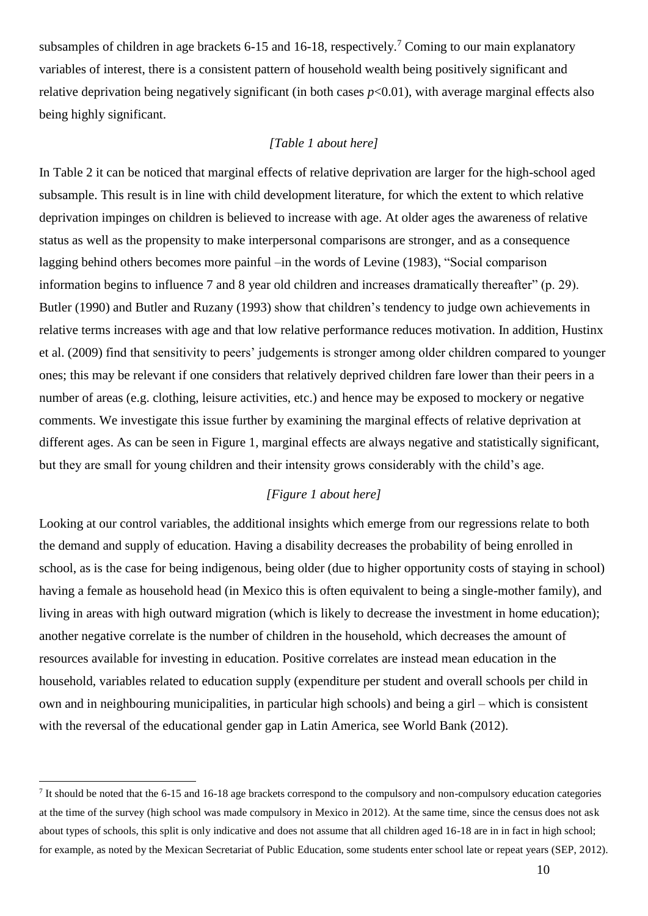subsamples of children in age brackets 6-15 and 16-18, respectively.<sup>7</sup> Coming to our main explanatory variables of interest, there is a consistent pattern of household wealth being positively significant and relative deprivation being negatively significant (in both cases *p*<0.01), with average marginal effects also being highly significant.

### *[Table 1 about here]*

In Table 2 it can be noticed that marginal effects of relative deprivation are larger for the high-school aged subsample. This result is in line with child development literature, for which the extent to which relative deprivation impinges on children is believed to increase with age. At older ages the awareness of relative status as well as the propensity to make interpersonal comparisons are stronger, and as a consequence lagging behind others becomes more painful –in the words of Levine (1983), "Social comparison information begins to influence 7 and 8 year old children and increases dramatically thereafter" (p. 29). Butler (1990) and Butler and Ruzany (1993) show that children's tendency to judge own achievements in relative terms increases with age and that low relative performance reduces motivation. In addition, Hustinx et al. (2009) find that sensitivity to peers' judgements is stronger among older children compared to younger ones; this may be relevant if one considers that relatively deprived children fare lower than their peers in a number of areas (e.g. clothing, leisure activities, etc.) and hence may be exposed to mockery or negative comments. We investigate this issue further by examining the marginal effects of relative deprivation at different ages. As can be seen in Figure 1, marginal effects are always negative and statistically significant, but they are small for young children and their intensity grows considerably with the child's age.

# *[Figure 1 about here]*

Looking at our control variables, the additional insights which emerge from our regressions relate to both the demand and supply of education. Having a disability decreases the probability of being enrolled in school, as is the case for being indigenous, being older (due to higher opportunity costs of staying in school) having a female as household head (in Mexico this is often equivalent to being a single-mother family), and living in areas with high outward migration (which is likely to decrease the investment in home education); another negative correlate is the number of children in the household, which decreases the amount of resources available for investing in education. Positive correlates are instead mean education in the household, variables related to education supply (expenditure per student and overall schools per child in own and in neighbouring municipalities, in particular high schools) and being a girl – which is consistent with the reversal of the educational gender gap in Latin America, see World Bank (2012).

<u>.</u>

<sup>&</sup>lt;sup>7</sup> It should be noted that the 6-15 and 16-18 age brackets correspond to the compulsory and non-compulsory education categories at the time of the survey (high school was made compulsory in Mexico in 2012). At the same time, since the census does not ask about types of schools, this split is only indicative and does not assume that all children aged 16-18 are in in fact in high school; for example, as noted by the Mexican Secretariat of Public Education, some students enter school late or repeat years (SEP, 2012).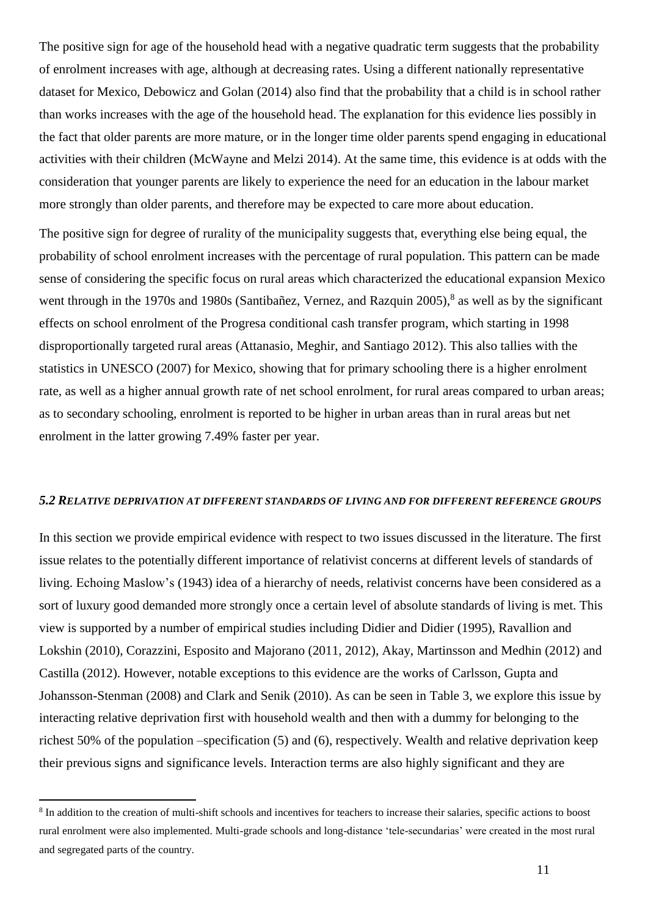The positive sign for age of the household head with a negative quadratic term suggests that the probability of enrolment increases with age, although at decreasing rates. Using a different nationally representative dataset for Mexico, Debowicz and Golan (2014) also find that the probability that a child is in school rather than works increases with the age of the household head. The explanation for this evidence lies possibly in the fact that older parents are more mature, or in the longer time older parents spend engaging in educational activities with their children (McWayne and Melzi 2014). At the same time, this evidence is at odds with the consideration that younger parents are likely to experience the need for an education in the labour market more strongly than older parents, and therefore may be expected to care more about education.

The positive sign for degree of rurality of the municipality suggests that, everything else being equal, the probability of school enrolment increases with the percentage of rural population. This pattern can be made sense of considering the specific focus on rural areas which characterized the educational expansion Mexico went through in the 1970s and 1980s (Santibañez, Vernez, and Razquin 2005),<sup>8</sup> as well as by the significant effects on school enrolment of the Progresa conditional cash transfer program, which starting in 1998 disproportionally targeted rural areas (Attanasio, Meghir, and Santiago 2012). This also tallies with the statistics in UNESCO (2007) for Mexico, showing that for primary schooling there is a higher enrolment rate, as well as a higher annual growth rate of net school enrolment, for rural areas compared to urban areas; as to secondary schooling, enrolment is reported to be higher in urban areas than in rural areas but net enrolment in the latter growing 7.49% faster per year.

#### *5.2 RELATIVE DEPRIVATION AT DIFFERENT STANDARDS OF LIVING AND FOR DIFFERENT REFERENCE GROUPS*

In this section we provide empirical evidence with respect to two issues discussed in the literature. The first issue relates to the potentially different importance of relativist concerns at different levels of standards of living. Echoing Maslow's (1943) idea of a hierarchy of needs, relativist concerns have been considered as a sort of luxury good demanded more strongly once a certain level of absolute standards of living is met. This view is supported by a number of empirical studies including Didier and Didier (1995), Ravallion and Lokshin (2010), Corazzini, Esposito and Majorano (2011, 2012), Akay, Martinsson and Medhin (2012) and Castilla (2012). However, notable exceptions to this evidence are the works of Carlsson, Gupta and Johansson-Stenman (2008) and Clark and Senik (2010). As can be seen in Table 3, we explore this issue by interacting relative deprivation first with household wealth and then with a dummy for belonging to the richest 50% of the population –specification (5) and (6), respectively. Wealth and relative deprivation keep their previous signs and significance levels. Interaction terms are also highly significant and they are

1

<sup>&</sup>lt;sup>8</sup> In addition to the creation of multi-shift schools and incentives for teachers to increase their salaries, specific actions to boost rural enrolment were also implemented. Multi-grade schools and long-distance 'tele-secundarias' were created in the most rural and segregated parts of the country.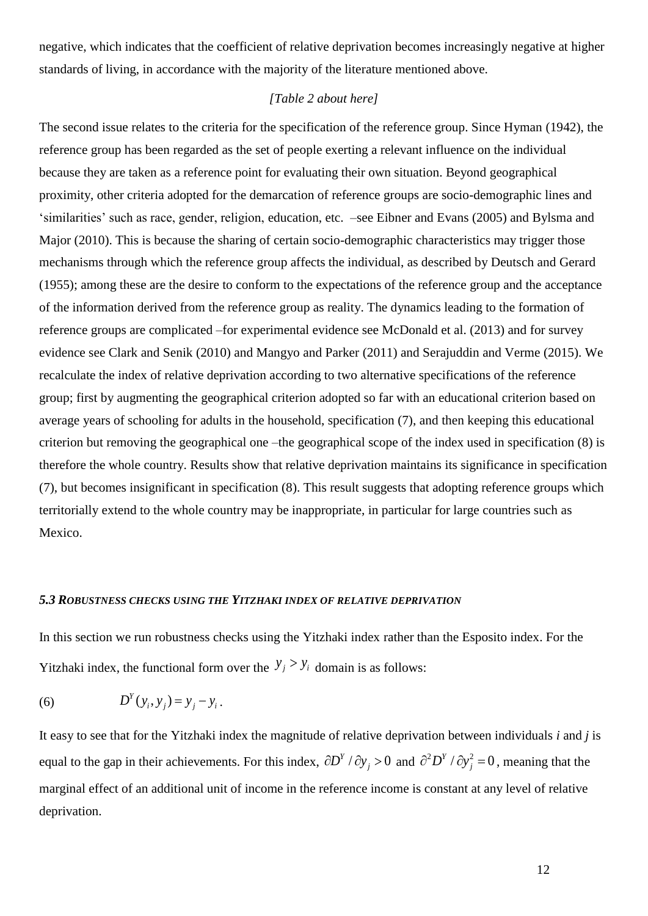negative, which indicates that the coefficient of relative deprivation becomes increasingly negative at higher standards of living, in accordance with the majority of the literature mentioned above.

## *[Table 2 about here]*

The second issue relates to the criteria for the specification of the reference group. Since Hyman (1942), the reference group has been regarded as the set of people exerting a relevant influence on the individual because they are taken as a reference point for evaluating their own situation. Beyond geographical proximity, other criteria adopted for the demarcation of reference groups are socio-demographic lines and 'similarities' such as race, gender, religion, education, etc. –see Eibner and Evans (2005) and Bylsma and Major (2010). This is because the sharing of certain socio-demographic characteristics may trigger those mechanisms through which the reference group affects the individual, as described by Deutsch and Gerard (1955); among these are the desire to conform to the expectations of the reference group and the acceptance of the information derived from the reference group as reality. The dynamics leading to the formation of reference groups are complicated –for experimental evidence see McDonald et al. (2013) and for survey evidence see Clark and Senik (2010) and Mangyo and Parker (2011) and Serajuddin and Verme (2015). We recalculate the index of relative deprivation according to two alternative specifications of the reference group; first by augmenting the geographical criterion adopted so far with an educational criterion based on average years of schooling for adults in the household, specification (7), and then keeping this educational criterion but removing the geographical one –the geographical scope of the index used in specification (8) is therefore the whole country. Results show that relative deprivation maintains its significance in specification (7), but becomes insignificant in specification (8). This result suggests that adopting reference groups which territorially extend to the whole country may be inappropriate, in particular for large countries such as Mexico.

### *5.3 ROBUSTNESS CHECKS USING THE YITZHAKI INDEX OF RELATIVE DEPRIVATION*

In this section we run robustness checks using the Yitzhaki index rather than the Esposito index. For the Yitzhaki index, the functional form over the  $y_j > y_i$  domain is as follows:

(6) 
$$
D^{Y}(y_i, y_j) = y_j - y_i.
$$

It easy to see that for the Yitzhaki index the magnitude of relative deprivation between individuals *i* and *j* is equal to the gap in their achievements. For this index,  $\partial D^Y/\partial y_j > 0$  and  $\partial^2 D^Y/\partial y_j^2 = 0$ , meaning that the marginal effect of an additional unit of income in the reference income is constant at any level of relative deprivation.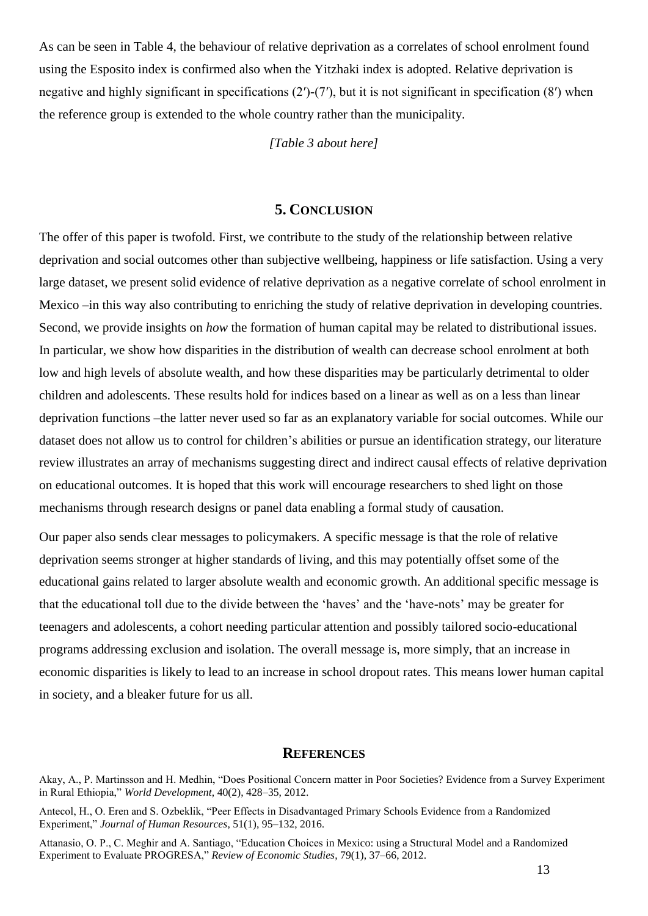As can be seen in Table 4, the behaviour of relative deprivation as a correlates of school enrolment found using the Esposito index is confirmed also when the Yitzhaki index is adopted. Relative deprivation is negative and highly significant in specifications (2′)-(7′), but it is not significant in specification (8′) when the reference group is extended to the whole country rather than the municipality.

*[Table 3 about here]*

# **5. CONCLUSION**

The offer of this paper is twofold. First, we contribute to the study of the relationship between relative deprivation and social outcomes other than subjective wellbeing, happiness or life satisfaction. Using a very large dataset, we present solid evidence of relative deprivation as a negative correlate of school enrolment in Mexico –in this way also contributing to enriching the study of relative deprivation in developing countries. Second, we provide insights on *how* the formation of human capital may be related to distributional issues. In particular, we show how disparities in the distribution of wealth can decrease school enrolment at both low and high levels of absolute wealth, and how these disparities may be particularly detrimental to older children and adolescents. These results hold for indices based on a linear as well as on a less than linear deprivation functions –the latter never used so far as an explanatory variable for social outcomes. While our dataset does not allow us to control for children's abilities or pursue an identification strategy, our literature review illustrates an array of mechanisms suggesting direct and indirect causal effects of relative deprivation on educational outcomes. It is hoped that this work will encourage researchers to shed light on those mechanisms through research designs or panel data enabling a formal study of causation.

Our paper also sends clear messages to policymakers. A specific message is that the role of relative deprivation seems stronger at higher standards of living, and this may potentially offset some of the educational gains related to larger absolute wealth and economic growth. An additional specific message is that the educational toll due to the divide between the 'haves' and the 'have-nots' may be greater for teenagers and adolescents, a cohort needing particular attention and possibly tailored socio-educational programs addressing exclusion and isolation. The overall message is, more simply, that an increase in economic disparities is likely to lead to an increase in school dropout rates. This means lower human capital in society, and a bleaker future for us all.

### **REFERENCES**

Akay, A., P. Martinsson and H. Medhin, "Does Positional Concern matter in Poor Societies? Evidence from a Survey Experiment in Rural Ethiopia," *World Development*, 40(2), 428–35, 2012.

Antecol, H., O. Eren and S. Ozbeklik, "Peer Effects in Disadvantaged Primary Schools Evidence from a Randomized Experiment," *Journal of Human Resources*, 51(1), 95–132, 2016.

Attanasio, O. P., C. Meghir and A. Santiago, "Education Choices in Mexico: using a Structural Model and a Randomized Experiment to Evaluate PROGRESA," *Review of Economic Studies*, 79(1), 37–66, 2012.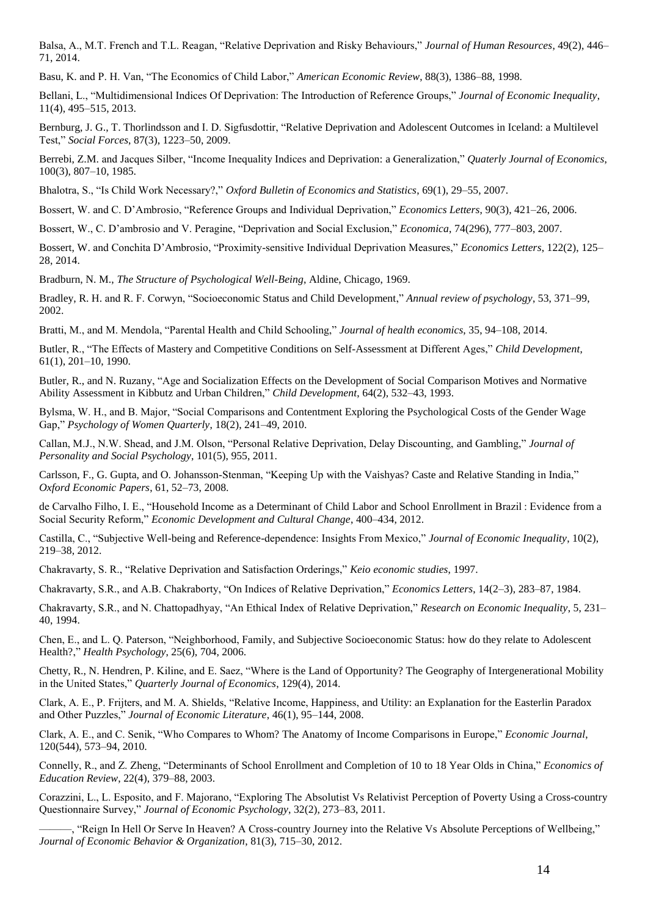Balsa, A., M.T. French and T.L. Reagan, "Relative Deprivation and Risky Behaviours," *Journal of Human Resources*, 49(2), 446– 71, 2014.

Basu, K. and P. H. Van, "The Economics of Child Labor," *American Economic Review*, 88(3), 1386–88, 1998.

Bellani, L., "Multidimensional Indices Of Deprivation: The Introduction of Reference Groups," *Journal of Economic Inequality*, 11(4), 495–515, 2013.

Bernburg, J. G., T. Thorlindsson and I. D. Sigfusdottir, "Relative Deprivation and Adolescent Outcomes in Iceland: a Multilevel Test," *Social Forces*, 87(3), 1223–50, 2009.

Berrebi, Z.M. and Jacques Silber, "Income Inequality Indices and Deprivation: a Generalization," *Quaterly Journal of Economics*, 100(3), 807–10, 1985.

Bhalotra, S., "Is Child Work Necessary?," *Oxford Bulletin of Economics and Statistics*, 69(1), 29–55, 2007.

Bossert, W. and C. D'Ambrosio, "Reference Groups and Individual Deprivation," *Economics Letters*, 90(3), 421–26, 2006.

Bossert, W., C. D'ambrosio and V. Peragine, "Deprivation and Social Exclusion," *Economica*, 74(296), 777–803, 2007.

Bossert, W. and Conchita D'Ambrosio, "Proximity-sensitive Individual Deprivation Measures," *Economics Letters*, 122(2), 125– 28, 2014.

Bradburn, N. M., *The Structure of Psychological Well-Being*, Aldine, Chicago, 1969.

Bradley, R. H. and R. F. Corwyn, "Socioeconomic Status and Child Development," *Annual review of psychology*, 53, 371–99, 2002.

Bratti, M., and M. Mendola, "Parental Health and Child Schooling," *Journal of health economics*, 35, 94–108, 2014.

Butler, R., "The Effects of Mastery and Competitive Conditions on Self-Assessment at Different Ages," *Child Development*, 61(1), 201–10, 1990.

Butler, R., and N. Ruzany, "Age and Socialization Effects on the Development of Social Comparison Motives and Normative Ability Assessment in Kibbutz and Urban Children," *Child Development*, 64(2), 532–43, 1993.

Bylsma, W. H., and B. Major, "Social Comparisons and Contentment Exploring the Psychological Costs of the Gender Wage Gap," *Psychology of Women Quarterly*, 18(2), 241–49, 2010.

Callan, M.J., N.W. Shead, and J.M. Olson, "Personal Relative Deprivation, Delay Discounting, and Gambling," *Journal of Personality and Social Psychology*, 101(5), 955, 2011.

Carlsson, F., G. Gupta, and O. Johansson-Stenman, "Keeping Up with the Vaishyas? Caste and Relative Standing in India," *Oxford Economic Papers*, 61, 52–73, 2008.

de Carvalho Filho, I. E., "Household Income as a Determinant of Child Labor and School Enrollment in Brazil : Evidence from a Social Security Reform," *Economic Development and Cultural Change*, 400–434, 2012.

Castilla, C., "Subjective Well-being and Reference-dependence: Insights From Mexico," *Journal of Economic Inequality*, 10(2), 219–38, 2012.

Chakravarty, S. R., "Relative Deprivation and Satisfaction Orderings," *Keio economic studies*, 1997.

Chakravarty, S.R., and A.B. Chakraborty, "On Indices of Relative Deprivation," *Economics Letters*, 14(2–3), 283–87, 1984.

Chakravarty, S.R., and N. Chattopadhyay, "An Ethical Index of Relative Deprivation," *Research on Economic Inequality*, 5, 231– 40, 1994.

Chen, E., and L. Q. Paterson, "Neighborhood, Family, and Subjective Socioeconomic Status: how do they relate to Adolescent Health?," *Health Psychology*, 25(6), 704, 2006.

Chetty, R., N. Hendren, P. Kiline, and E. Saez, "Where is the Land of Opportunity? The Geography of Intergenerational Mobility in the United States," *Quarterly Journal of Economics*, 129(4), 2014.

Clark, A. E., P. Frijters, and M. A. Shields, "Relative Income, Happiness, and Utility: an Explanation for the Easterlin Paradox and Other Puzzles," *Journal of Economic Literature*, 46(1), 95–144, 2008.

Clark, A. E., and C. Senik, "Who Compares to Whom? The Anatomy of Income Comparisons in Europe," *Economic Journal*, 120(544), 573–94, 2010.

Connelly, R., and Z. Zheng, "Determinants of School Enrollment and Completion of 10 to 18 Year Olds in China," *Economics of Education Review*, 22(4), 379–88, 2003.

Corazzini, L., L. Esposito, and F. Majorano, "Exploring The Absolutist Vs Relativist Perception of Poverty Using a Cross-country Questionnaire Survey," *Journal of Economic Psychology*, 32(2), 273–83, 2011.

———, "Reign In Hell Or Serve In Heaven? A Cross-country Journey into the Relative Vs Absolute Perceptions of Wellbeing," *Journal of Economic Behavior & Organization*, 81(3), 715–30, 2012.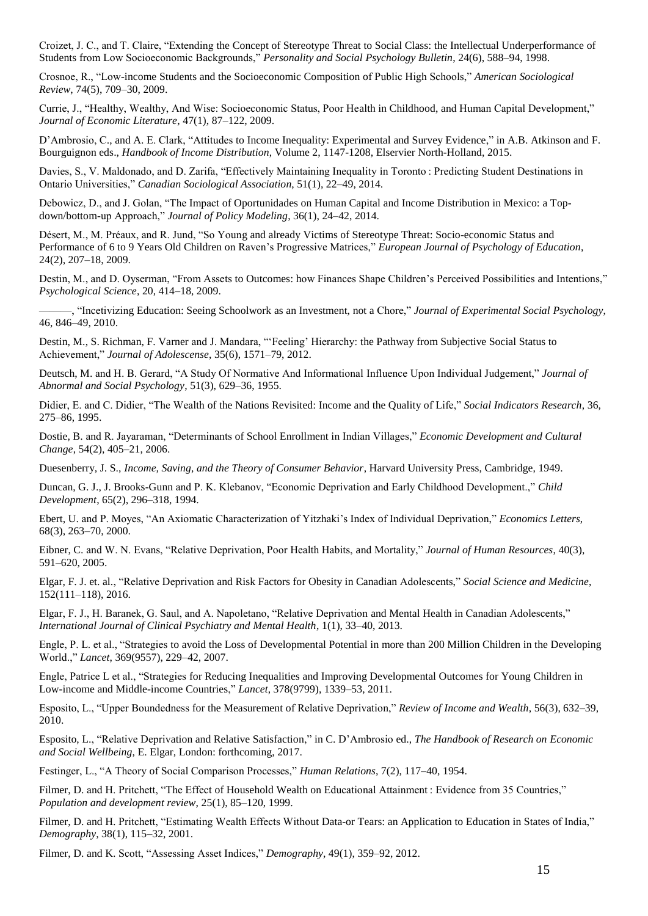Croizet, J. C., and T. Claire, "Extending the Concept of Stereotype Threat to Social Class: the Intellectual Underperformance of Students from Low Socioeconomic Backgrounds," *Personality and Social Psychology Bulletin*, 24(6), 588–94, 1998.

Crosnoe, R., "Low-income Students and the Socioeconomic Composition of Public High Schools," *American Sociological Review*, 74(5), 709–30, 2009.

Currie, J., "Healthy, Wealthy, And Wise: Socioeconomic Status, Poor Health in Childhood, and Human Capital Development," *Journal of Economic Literature*, 47(1), 87–122, 2009.

D'Ambrosio, C., and A. E. Clark, "Attitudes to Income Inequality: Experimental and Survey Evidence," in A.B. Atkinson and F. Bourguignon eds., *Handbook of Income Distribution*, Volume 2, 1147-1208, Elservier North-Holland, 2015.

Davies, S., V. Maldonado, and D. Zarifa, "Effectively Maintaining Inequality in Toronto : Predicting Student Destinations in Ontario Universities," *Canadian Sociological Association*, 51(1), 22–49, 2014.

Debowicz, D., and J. Golan, "The Impact of Oportunidades on Human Capital and Income Distribution in Mexico: a Topdown/bottom-up Approach," *Journal of Policy Modeling*, 36(1), 24–42, 2014.

Désert, M., M. Préaux, and R. Jund, "So Young and already Victims of Stereotype Threat: Socio-economic Status and Performance of 6 to 9 Years Old Children on Raven's Progressive Matrices," *European Journal of Psychology of Education*, 24(2), 207–18, 2009.

Destin, M., and D. Oyserman, "From Assets to Outcomes: how Finances Shape Children's Perceived Possibilities and Intentions," *Psychological Science*, 20, 414–18, 2009.

———, "Incetivizing Education: Seeing Schoolwork as an Investment, not a Chore," *Journal of Experimental Social Psychology*, 46, 846–49, 2010.

Destin, M., S. Richman, F. Varner and J. Mandara, "'Feeling' Hierarchy: the Pathway from Subjective Social Status to Achievement," *Journal of Adolescense*, 35(6), 1571–79, 2012.

Deutsch, M. and H. B. Gerard, "A Study Of Normative And Informational Influence Upon Individual Judgement," *Journal of Abnormal and Social Psychology*, 51(3), 629–36, 1955.

Didier, E. and C. Didier, "The Wealth of the Nations Revisited: Income and the Quality of Life," *Social Indicators Research*, 36, 275–86, 1995.

Dostie, B. and R. Jayaraman, "Determinants of School Enrollment in Indian Villages," *Economic Development and Cultural Change*, 54(2), 405–21, 2006.

Duesenberry, J. S., *Income, Saving, and the Theory of Consumer Behavior*, Harvard University Press, Cambridge, 1949.

Duncan, G. J., J. Brooks-Gunn and P. K. Klebanov, "Economic Deprivation and Early Childhood Development.," *Child Development*, 65(2), 296–318, 1994.

Ebert, U. and P. Moyes, "An Axiomatic Characterization of Yitzhaki's Index of Individual Deprivation," *Economics Letters*, 68(3), 263–70, 2000.

Eibner, C. and W. N. Evans, "Relative Deprivation, Poor Health Habits, and Mortality," *Journal of Human Resources*, 40(3), 591–620, 2005.

Elgar, F. J. et. al., "Relative Deprivation and Risk Factors for Obesity in Canadian Adolescents," *Social Science and Medicine*, 152(111–118), 2016.

Elgar, F. J., H. Baranek, G. Saul, and A. Napoletano, "Relative Deprivation and Mental Health in Canadian Adolescents," *International Journal of Clinical Psychiatry and Mental Health*, 1(1), 33–40, 2013.

Engle, P. L. et al., "Strategies to avoid the Loss of Developmental Potential in more than 200 Million Children in the Developing World.," *Lancet*, 369(9557), 229–42, 2007.

Engle, Patrice L et al., "Strategies for Reducing Inequalities and Improving Developmental Outcomes for Young Children in Low-income and Middle-income Countries," *Lancet*, 378(9799), 1339–53, 2011.

Esposito, L., "Upper Boundedness for the Measurement of Relative Deprivation," *Review of Income and Wealth*, 56(3), 632–39, 2010.

Esposito, L., "Relative Deprivation and Relative Satisfaction," in C. D'Ambrosio ed., *The Handbook of Research on Economic and Social Wellbeing*, E. Elgar, London: forthcoming, 2017.

Festinger, L., "A Theory of Social Comparison Processes," *Human Relations*, 7(2), 117–40, 1954.

Filmer, D. and H. Pritchett, "The Effect of Household Wealth on Educational Attainment : Evidence from 35 Countries," *Population and development review*, 25(1), 85–120, 1999.

Filmer, D. and H. Pritchett, "Estimating Wealth Effects Without Data-or Tears: an Application to Education in States of India," *Demography*, 38(1), 115–32, 2001.

Filmer, D. and K. Scott, "Assessing Asset Indices," *Demography*, 49(1), 359–92, 2012.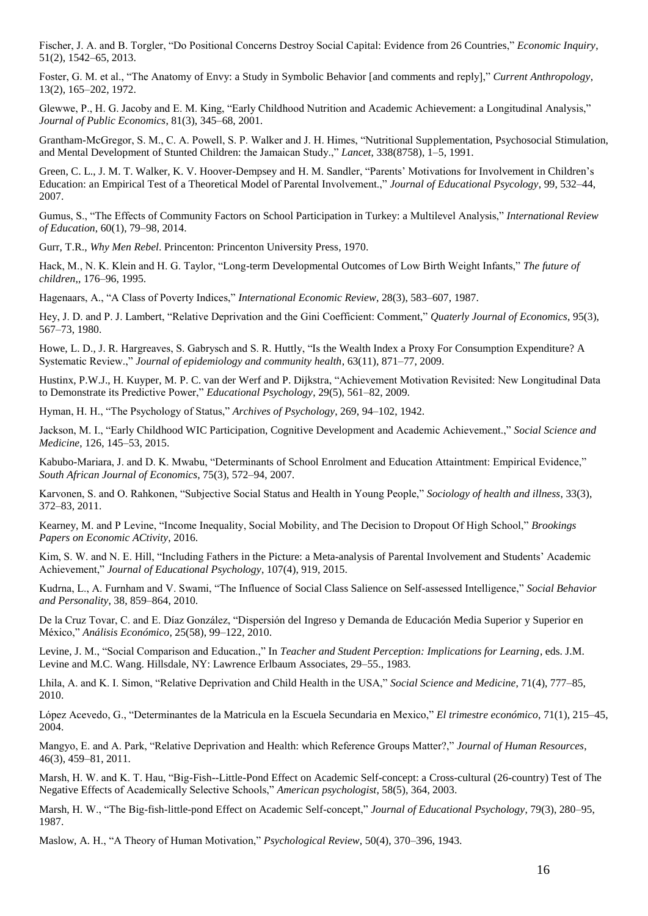Fischer, J. A. and B. Torgler, "Do Positional Concerns Destroy Social Capital: Evidence from 26 Countries," *Economic Inquiry*, 51(2), 1542–65, 2013.

Foster, G. M. et al., "The Anatomy of Envy: a Study in Symbolic Behavior [and comments and reply]," *Current Anthropology*, 13(2), 165–202, 1972.

Glewwe, P., H. G. Jacoby and E. M. King, "Early Childhood Nutrition and Academic Achievement: a Longitudinal Analysis," *Journal of Public Economics*, 81(3), 345–68, 2001.

Grantham-McGregor, S. M., C. A. Powell, S. P. Walker and J. H. Himes, "Nutritional Supplementation, Psychosocial Stimulation, and Mental Development of Stunted Children: the Jamaican Study.," *Lancet*, 338(8758), 1–5, 1991.

Green, C. L., J. M. T. Walker, K. V. Hoover-Dempsey and H. M. Sandler, "Parents' Motivations for Involvement in Children's Education: an Empirical Test of a Theoretical Model of Parental Involvement.," *Journal of Educational Psycology*, 99, 532–44, 2007.

Gumus, S., "The Effects of Community Factors on School Participation in Turkey: a Multilevel Analysis," *International Review of Education*, 60(1), 79–98, 2014.

Gurr, T.R., *Why Men Rebel*. Princenton: Princenton University Press, 1970.

Hack, M., N. K. Klein and H. G. Taylor, "Long-term Developmental Outcomes of Low Birth Weight Infants," *The future of children*,, 176–96, 1995.

Hagenaars, A., "A Class of Poverty Indices," *International Economic Review*, 28(3), 583–607, 1987.

Hey, J. D. and P. J. Lambert, "Relative Deprivation and the Gini Coefficient: Comment," *Quaterly Journal of Economics*, 95(3), 567–73, 1980.

Howe, L. D., J. R. Hargreaves, S. Gabrysch and S. R. Huttly, "Is the Wealth Index a Proxy For Consumption Expenditure? A Systematic Review.," *Journal of epidemiology and community health*, 63(11), 871–77, 2009.

Hustinx, P.W.J., H. Kuyper, M. P. C. van der Werf and P. Dijkstra, "Achievement Motivation Revisited: New Longitudinal Data to Demonstrate its Predictive Power," *Educational Psychology*, 29(5), 561–82, 2009.

Hyman, H. H., "The Psychology of Status," *Archives of Psychology*, 269, 94–102, 1942.

Jackson, M. I., "Early Childhood WIC Participation, Cognitive Development and Academic Achievement.," *Social Science and Medicine*, 126, 145–53, 2015.

Kabubo-Mariara, J. and D. K. Mwabu, "Determinants of School Enrolment and Education Attaintment: Empirical Evidence," *South African Journal of Economics*, 75(3), 572–94, 2007.

Karvonen, S. and O. Rahkonen, "Subjective Social Status and Health in Young People," *Sociology of health and illness*, 33(3), 372–83, 2011.

Kearney, M. and P Levine, "Income Inequality, Social Mobility, and The Decision to Dropout Of High School," *Brookings Papers on Economic ACtivity*, 2016.

Kim, S. W. and N. E. Hill, "Including Fathers in the Picture: a Meta-analysis of Parental Involvement and Students' Academic Achievement," *Journal of Educational Psychology*, 107(4), 919, 2015.

Kudrna, L., A. Furnham and V. Swami, "The Influence of Social Class Salience on Self-assessed Intelligence," *Social Behavior and Personality*, 38, 859–864, 2010.

De la Cruz Tovar, C. and E. Díaz González, "Dispersión del Ingreso y Demanda de Educación Media Superior y Superior en México," *Análisis Económico*, 25(58), 99–122, 2010.

Levine, J. M., "Social Comparison and Education.," In *Teacher and Student Perception: Implications for Learning*, eds. J.M. Levine and M.C. Wang. Hillsdale, NY: Lawrence Erlbaum Associates, 29–55., 1983.

Lhila, A. and K. I. Simon, "Relative Deprivation and Child Health in the USA," *Social Science and Medicine*, 71(4), 777–85, 2010.

López Acevedo, G., "Determinantes de la Matricula en la Escuela Secundaria en Mexico," *El trimestre económico*, 71(1), 215–45, 2004.

Mangyo, E. and A. Park, "Relative Deprivation and Health: which Reference Groups Matter?," *Journal of Human Resources*, 46(3), 459–81, 2011.

Marsh, H. W. and K. T. Hau, "Big-Fish--Little-Pond Effect on Academic Self-concept: a Cross-cultural (26-country) Test of The Negative Effects of Academically Selective Schools," *American psychologist*, 58(5), 364, 2003.

Marsh, H. W., "The Big-fish-little-pond Effect on Academic Self-concept," *Journal of Educational Psychology*, 79(3), 280–95, 1987.

Maslow, A. H., "A Theory of Human Motivation," *Psychological Review*, 50(4), 370–396, 1943.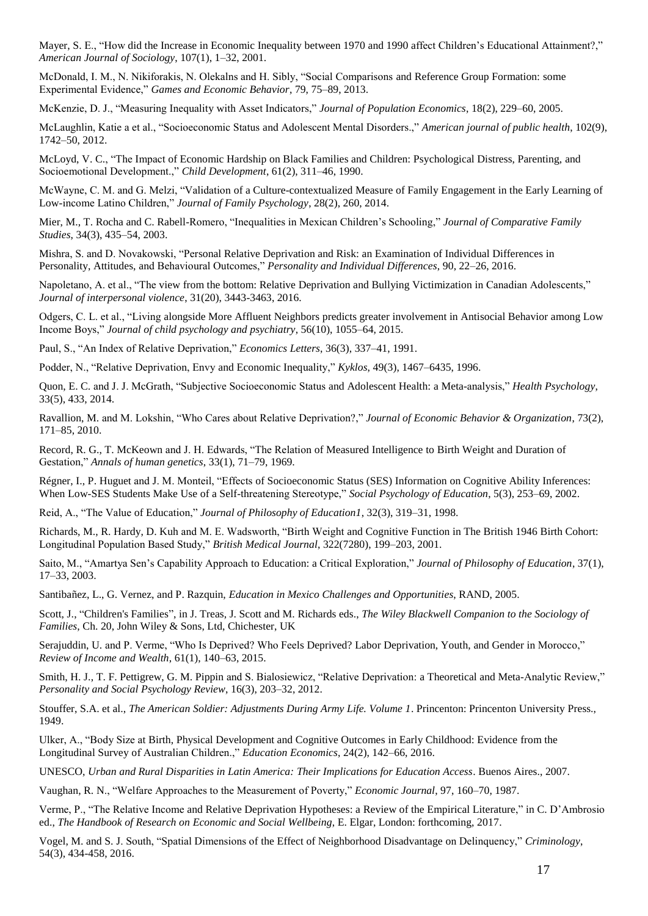Mayer, S. E., "How did the Increase in Economic Inequality between 1970 and 1990 affect Children's Educational Attainment?," *American Journal of Sociology*, 107(1), 1–32, 2001.

McDonald, I. M., N. Nikiforakis, N. Olekalns and H. Sibly, "Social Comparisons and Reference Group Formation: some Experimental Evidence," *Games and Economic Behavior*, 79, 75–89, 2013.

McKenzie, D. J., "Measuring Inequality with Asset Indicators," *Journal of Population Economics*, 18(2), 229–60, 2005.

McLaughlin, Katie a et al., "Socioeconomic Status and Adolescent Mental Disorders.," *American journal of public health*, 102(9), 1742–50, 2012.

McLoyd, V. C., "The Impact of Economic Hardship on Black Families and Children: Psychological Distress, Parenting, and Socioemotional Development.," *Child Development*, 61(2), 311–46, 1990.

McWayne, C. M. and G. Melzi, "Validation of a Culture-contextualized Measure of Family Engagement in the Early Learning of Low-income Latino Children," *Journal of Family Psychology*, 28(2), 260, 2014.

Mier, M., T. Rocha and C. Rabell-Romero, "Inequalities in Mexican Children's Schooling," *Journal of Comparative Family Studies*, 34(3), 435–54, 2003.

Mishra, S. and D. Novakowski, "Personal Relative Deprivation and Risk: an Examination of Individual Differences in Personality, Attitudes, and Behavioural Outcomes," *Personality and Individual Differences*, 90, 22–26, 2016.

Napoletano, A. et al., "The view from the bottom: Relative Deprivation and Bullying Victimization in Canadian Adolescents," *Journal of interpersonal violence*, 31(20), 3443-3463, 2016.

Odgers, C. L. et al., "Living alongside More Affluent Neighbors predicts greater involvement in Antisocial Behavior among Low Income Boys," *Journal of child psychology and psychiatry*, 56(10), 1055–64, 2015.

Paul, S., "An Index of Relative Deprivation," *Economics Letters*, 36(3), 337–41, 1991.

Podder, N., "Relative Deprivation, Envy and Economic Inequality," *Kyklos*, 49(3), 1467–6435, 1996.

Quon, E. C. and J. J. McGrath, "Subjective Socioeconomic Status and Adolescent Health: a Meta-analysis," *Health Psychology*, 33(5), 433, 2014.

Ravallion, M. and M. Lokshin, "Who Cares about Relative Deprivation?," *Journal of Economic Behavior & Organization*, 73(2), 171–85, 2010.

Record, R. G., T. McKeown and J. H. Edwards, "The Relation of Measured Intelligence to Birth Weight and Duration of Gestation," *Annals of human genetics*, 33(1), 71–79, 1969.

Régner, I., P. Huguet and J. M. Monteil, "Effects of Socioeconomic Status (SES) Information on Cognitive Ability Inferences: When Low-SES Students Make Use of a Self-threatening Stereotype," *Social Psychology of Education*, 5(3), 253–69, 2002.

Reid, A., "The Value of Education," *Journal of Philosophy of Education1*, 32(3), 319–31, 1998.

Richards, M., R. Hardy, D. Kuh and M. E. Wadsworth, "Birth Weight and Cognitive Function in The British 1946 Birth Cohort: Longitudinal Population Based Study," *British Medical Journal*, 322(7280), 199–203, 2001.

Saito, M., "Amartya Sen's Capability Approach to Education: a Critical Exploration," *Journal of Philosophy of Education*, 37(1), 17–33, 2003.

Santibañez, L., G. Vernez, and P. Razquin, *Education in Mexico Challenges and Opportunities*, RAND, 2005.

Scott, J., "Children's Families", in J. Treas, J. Scott and M. Richards eds., *The Wiley Blackwell Companion to the Sociology of Families*, Ch. 20, John Wiley & Sons, Ltd, Chichester, UK

Serajuddin, U. and P. Verme, "Who Is Deprived? Who Feels Deprived? Labor Deprivation, Youth, and Gender in Morocco," *Review of Income and Wealth*, 61(1), 140–63, 2015.

Smith, H. J., T. F. Pettigrew, G. M. Pippin and S. Bialosiewicz, "Relative Deprivation: a Theoretical and Meta-Analytic Review," *Personality and Social Psychology Review*, 16(3), 203–32, 2012.

Stouffer, S.A. et al., *The American Soldier: Adjustments During Army Life. Volume 1*. Princenton: Princenton University Press., 1949.

Ulker, A., "Body Size at Birth, Physical Development and Cognitive Outcomes in Early Childhood: Evidence from the Longitudinal Survey of Australian Children.," *Education Economics*, 24(2), 142–66, 2016.

UNESCO, *Urban and Rural Disparities in Latin America: Their Implications for Education Access*. Buenos Aires., 2007.

Vaughan, R. N., "Welfare Approaches to the Measurement of Poverty," *Economic Journal*, 97, 160–70, 1987.

Verme, P., "The Relative Income and Relative Deprivation Hypotheses: a Review of the Empirical Literature," in C. D'Ambrosio ed., *The Handbook of Research on Economic and Social Wellbeing*, E. Elgar, London: forthcoming, 2017.

Vogel, M. and S. J. South, "Spatial Dimensions of the Effect of Neighborhood Disadvantage on Delinquency," *Criminology*, 54(3), 434-458, 2016.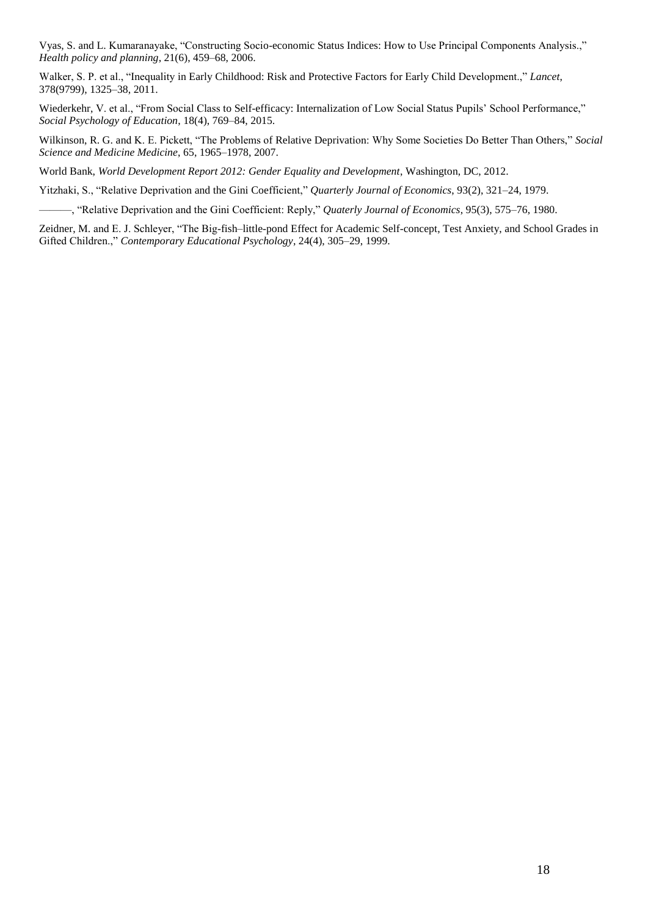Vyas, S. and L. Kumaranayake, "Constructing Socio-economic Status Indices: How to Use Principal Components Analysis.," *Health policy and planning*, 21(6), 459–68, 2006.

Walker, S. P. et al., "Inequality in Early Childhood: Risk and Protective Factors for Early Child Development.," *Lancet*, 378(9799), 1325–38, 2011.

Wiederkehr, V. et al., "From Social Class to Self-efficacy: Internalization of Low Social Status Pupils' School Performance," *Social Psychology of Education*, 18(4), 769–84, 2015.

Wilkinson, R. G. and K. E. Pickett, "The Problems of Relative Deprivation: Why Some Societies Do Better Than Others," *Social Science and Medicine Medicine*, 65, 1965–1978, 2007.

World Bank, *World Development Report 2012: Gender Equality and Development*, Washington, DC, 2012.

Yitzhaki, S., "Relative Deprivation and the Gini Coefficient," *Quarterly Journal of Economics*, 93(2), 321–24, 1979.

———, "Relative Deprivation and the Gini Coefficient: Reply," *Quaterly Journal of Economics*, 95(3), 575–76, 1980.

Zeidner, M. and E. J. Schleyer, "The Big-fish–little-pond Effect for Academic Self-concept, Test Anxiety, and School Grades in Gifted Children.," *Contemporary Educational Psychology*, 24(4), 305–29, 1999.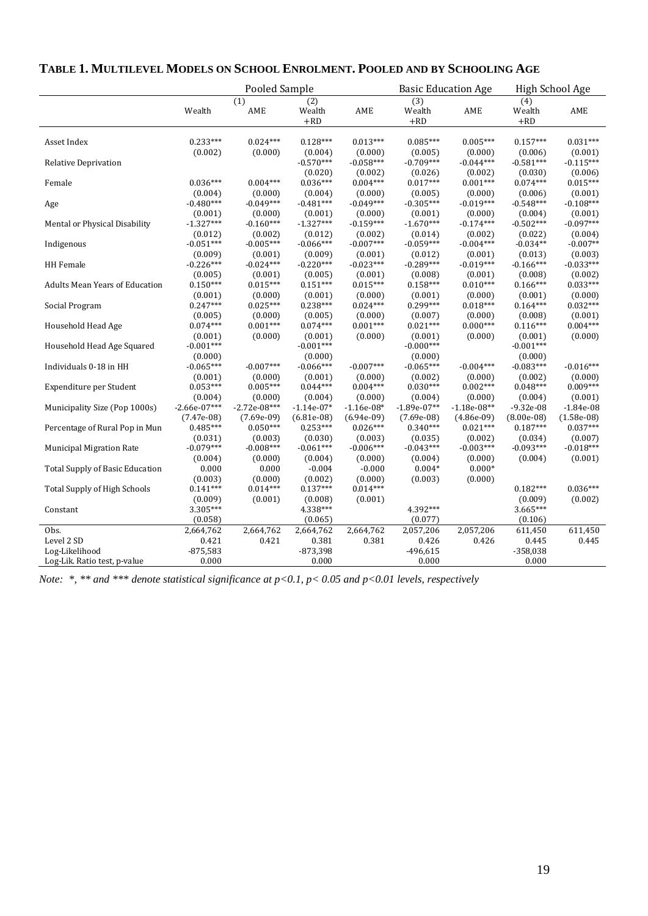|                                       | Pooled Sample       |                |                        | <b>Basic Education Age</b> |                                     | High School Age |                        |              |
|---------------------------------------|---------------------|----------------|------------------------|----------------------------|-------------------------------------|-----------------|------------------------|--------------|
|                                       | Wealth              | (1)<br>AME     | (2)<br>Wealth<br>$+RD$ | AME                        | $\overline{(3)}$<br>Wealth<br>$+RD$ | AME             | (4)<br>Wealth<br>$+RD$ | AME          |
|                                       |                     |                |                        |                            |                                     |                 |                        |              |
| Asset Index                           | $0.233***$          | $0.024***$     | $0.128***$             | $0.013***$                 | $0.085***$                          | $0.005***$      | $0.157***$             | $0.031***$   |
|                                       | (0.002)             | (0.000)        | (0.004)                | (0.000)                    | (0.005)                             | (0.000)         | (0.006)                | (0.001)      |
| <b>Relative Deprivation</b>           |                     |                | $-0.570***$            | $-0.058***$                | $-0.709***$                         | $-0.044***$     | $-0.581***$            | $-0.115***$  |
|                                       |                     |                | (0.020)                | (0.002)                    | (0.026)                             | (0.002)         | (0.030)                | (0.006)      |
| Female                                | $0.036***$          | $0.004***$     | $0.036***$             | $0.004***$                 | $0.017***$                          | $0.001***$      | $0.074***$             | $0.015***$   |
|                                       | (0.004)             | (0.000)        | (0.004)                | (0.000)                    | (0.005)                             | (0.000)         | (0.006)                | (0.001)      |
| Age                                   | $-0.480***$         | $-0.049***$    | $-0.481***$            | $-0.049***$                | $-0.305***$                         | $-0.019***$     | $-0.548***$            | $-0.108***$  |
|                                       | (0.001)             | (0.000)        | (0.001)                | (0.000)                    | (0.001)                             | (0.000)         | (0.004)                | (0.001)      |
| Mental or Physical Disability         | $-1.327***$         | $-0.160***$    | $-1.327***$            | $-0.159***$                | $-1.670***$                         | $-0.174***$     | $-0.502***$            | $-0.097***$  |
|                                       | (0.012)             | (0.002)        | (0.012)                | (0.002)                    | (0.014)                             | (0.002)         | (0.022)                | (0.004)      |
| Indigenous                            | $-0.051***$         | $-0.005***$    | $-0.066***$            | $-0.007***$                | $-0.059***$                         | $-0.004***$     | $-0.034**$             | $-0.007**$   |
|                                       | (0.009)             | (0.001)        | (0.009)                | (0.001)                    | (0.012)                             | (0.001)         | (0.013)                | (0.003)      |
| <b>HH</b> Female                      | $-0.226***$         | $-0.024***$    | $-0.220***$            | $-0.023***$                | $-0.289***$                         | $-0.019***$     | $-0.166***$            | $-0.033***$  |
|                                       | (0.005)             | (0.001)        | (0.005)                | (0.001)                    | (0.008)                             | (0.001)         | (0.008)                | (0.002)      |
| <b>Adults Mean Years of Education</b> | $0.150***$          | $0.015***$     | $0.151***$             | $0.015***$                 | $0.158***$                          | $0.010***$      | $0.166***$             | $0.033***$   |
|                                       | (0.001)             | (0.000)        | (0.001)                | (0.000)                    | (0.001)                             | (0.000)         | (0.001)                | (0.000)      |
| Social Program                        | $0.247***$          | $0.025***$     | $0.238***$             | $0.024***$                 | $0.299***$                          | $0.018***$      | $0.164***$             | $0.032***$   |
|                                       | (0.005)             | (0.000)        | (0.005)                | (0.000)                    | (0.007)                             | (0.000)         | (0.008)                | (0.001)      |
| Household Head Age                    | $0.074***$          | $0.001***$     | $0.074***$             | $0.001***$                 | $0.021***$                          | $0.000***$      | $0.116***$             | $0.004***$   |
|                                       | (0.001)             | (0.000)        | (0.001)                | (0.000)                    | (0.001)                             | (0.000)         | (0.001)                | (0.000)      |
| Household Head Age Squared            | $-0.001***$         |                | $-0.001***$            |                            | $-0.000***$                         |                 | $-0.001***$            |              |
|                                       | (0.000)             |                | (0.000)                |                            | (0.000)                             |                 | (0.000)                |              |
| Individuals 0-18 in HH                | $-0.065***$         | $-0.007***$    | $-0.066***$            | $-0.007***$                | $-0.065***$                         | $-0.004***$     | $-0.083***$            | $-0.016***$  |
|                                       | (0.001)             | (0.000)        | (0.001)                | (0.000)                    | (0.002)                             | (0.000)         | (0.002)                | (0.000)      |
| Expenditure per Student               | $0.053***$          | $0.005***$     | $0.044***$             | $0.004***$                 | $0.030***$                          | $0.002***$      | $0.048***$             | $0.009***$   |
|                                       | (0.004)             | (0.000)        | (0.004)                | (0.000)                    | (0.004)                             | (0.000)         | (0.004)                | (0.001)      |
| Municipality Size (Pop 1000s)         | $-2.66e-07***$      | $-2.72e-08***$ | $-1.14e-07*$           | $-1.16e-08*$               | $-1.89e-07**$                       | $-1.18e-08**$   | $-9.32e-08$            | $-1.84e-08$  |
|                                       | $(7.47e-08)$        | $(7.69e-09)$   | $(6.81e-0.8)$          | $(6.94e-09)$               | $(7.69e-08)$                        | $(4.86e-09)$    | $(8.00e-08)$           | $(1.58e-08)$ |
| Percentage of Rural Pop in Mun        | $0.485***$          | $0.050***$     | $0.253***$             | $0.026***$                 | $0.340***$                          | $0.021***$      | $0.187***$             | $0.037***$   |
|                                       | (0.031)             | (0.003)        | (0.030)                | (0.003)                    | (0.035)                             | (0.002)         | (0.034)                | (0.007)      |
| <b>Municipal Migration Rate</b>       | $-0.079***$         | $-0.008***$    | $-0.061***$            | $-0.006***$                | $-0.043***$                         | $-0.003***$     | $-0.093***$            | $-0.018***$  |
|                                       | (0.004)             | (0.000)        | (0.004)                | (0.000)                    | (0.004)                             | (0.000)         | (0.004)                | (0.001)      |
| Total Supply of Basic Education       | 0.000               | 0.000          | $-0.004$               | $-0.000$                   | $0.004*$                            | $0.000*$        |                        |              |
|                                       | (0.003)             | (0.000)        | (0.002)                | (0.000)                    | (0.003)                             | (0.000)         |                        |              |
| <b>Total Supply of High Schools</b>   | $0.141***$          | $0.014***$     | $0.137***$             | $0.014***$                 |                                     |                 | $0.182***$             | $0.036***$   |
|                                       | (0.009)             | (0.001)        | (0.008)                | (0.001)                    |                                     |                 | (0.009)                | (0.002)      |
| Constant                              | 3.305***            |                | 4.338***               |                            | 4.392***                            |                 | $3.665***$             |              |
|                                       | (0.058)             |                | (0.065)                |                            | (0.077)                             |                 | (0.106)                |              |
| Obs.                                  | 2,664,762           | 2,664,762      | 2,664,762              | 2,664,762                  | 2,057,206                           | 2,057,206       | 611,450                | 611,450      |
| Level 2 SD                            | 0.421               | 0.421          | 0.381                  | 0.381                      | 0.426                               | 0.426           | 0.445                  | 0.445        |
| Log-Likelihood                        | $-875,583$<br>0.000 |                | $-873,398$<br>0.000    |                            | $-496,615$<br>0.000                 |                 | -358,038<br>0.000      |              |
| Log-Lik. Ratio test, p-value          |                     |                |                        |                            |                                     |                 |                        |              |

# **TABLE 1. MULTILEVEL MODELS ON SCHOOL ENROLMENT. POOLED AND BY SCHOOLING AGE**

*Note: \*, \*\* and \*\*\* denote statistical significance at p<0.1, p< 0.05 and p<0.01 levels, respectively*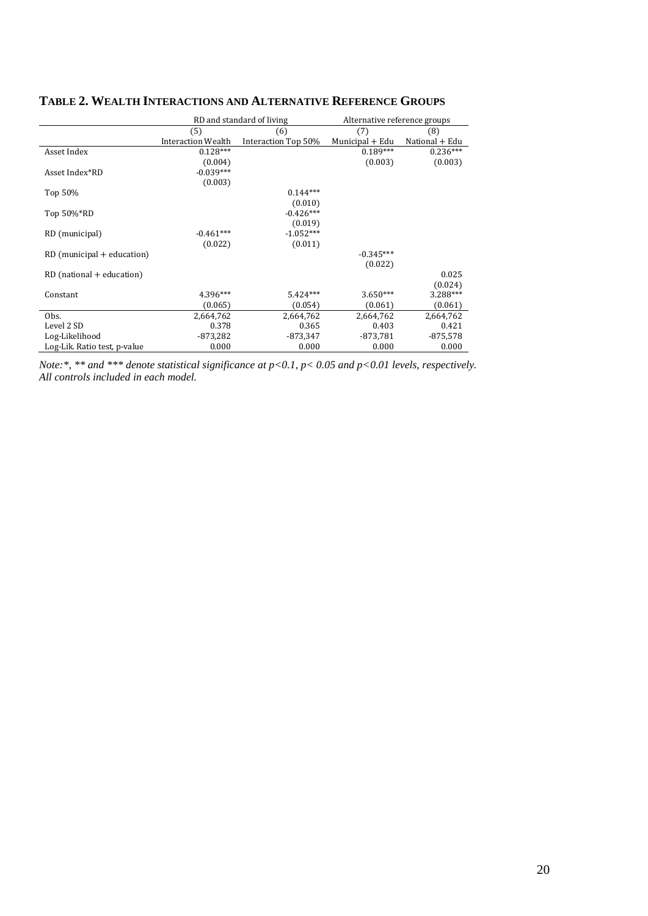|                                |                           | RD and standard of living | Alternative reference groups |                |  |  |
|--------------------------------|---------------------------|---------------------------|------------------------------|----------------|--|--|
|                                | (5)<br>(6)                |                           | (7)                          | (8)            |  |  |
|                                | <b>Interaction Wealth</b> | Interaction Top 50%       | Municipal + Edu              | National + Edu |  |  |
| Asset Index                    | $0.128***$                |                           | $0.189***$                   | $0.236***$     |  |  |
|                                | (0.004)                   |                           | (0.003)                      | (0.003)        |  |  |
| Asset Index*RD                 | $-0.039***$               |                           |                              |                |  |  |
|                                | (0.003)                   |                           |                              |                |  |  |
| Top 50%                        |                           | $0.144***$                |                              |                |  |  |
|                                |                           | (0.010)                   |                              |                |  |  |
| Top $50\%$ *RD                 |                           | $-0.426***$               |                              |                |  |  |
|                                |                           | (0.019)                   |                              |                |  |  |
| RD (municipal)                 | $-0.461***$               | $-1.052***$               |                              |                |  |  |
|                                | (0.022)                   | (0.011)                   |                              |                |  |  |
| $RD$ (municipal $+$ education) |                           |                           | $-0.345***$                  |                |  |  |
|                                |                           |                           | (0.022)                      |                |  |  |
| $RD$ (national + education)    |                           |                           |                              | 0.025          |  |  |
|                                |                           |                           |                              | (0.024)        |  |  |
| Constant                       | $4.396***$                | $5.424***$                | $3.650***$                   | 3.288***       |  |  |
|                                | (0.065)                   | (0.054)                   | (0.061)                      | (0.061)        |  |  |
| Obs.                           | 2,664,762                 | 2,664,762                 | 2,664,762                    | 2,664,762      |  |  |
| Level 2 SD                     | 0.378                     | 0.365                     | 0.403                        | 0.421          |  |  |
| Log-Likelihood                 | $-873,282$                | $-873,347$                | $-873,781$                   | $-875,578$     |  |  |
| Log-Lik. Ratio test, p-value   | 0.000                     | 0.000                     | 0.000                        | 0.000          |  |  |

# **TABLE 2. WEALTH INTERACTIONS AND ALTERNATIVE REFERENCE GROUPS**

*Note:\*, \*\* and \*\*\* denote statistical significance at p<0.1, p< 0.05 and p<0.01 levels, respectively. All controls included in each model.*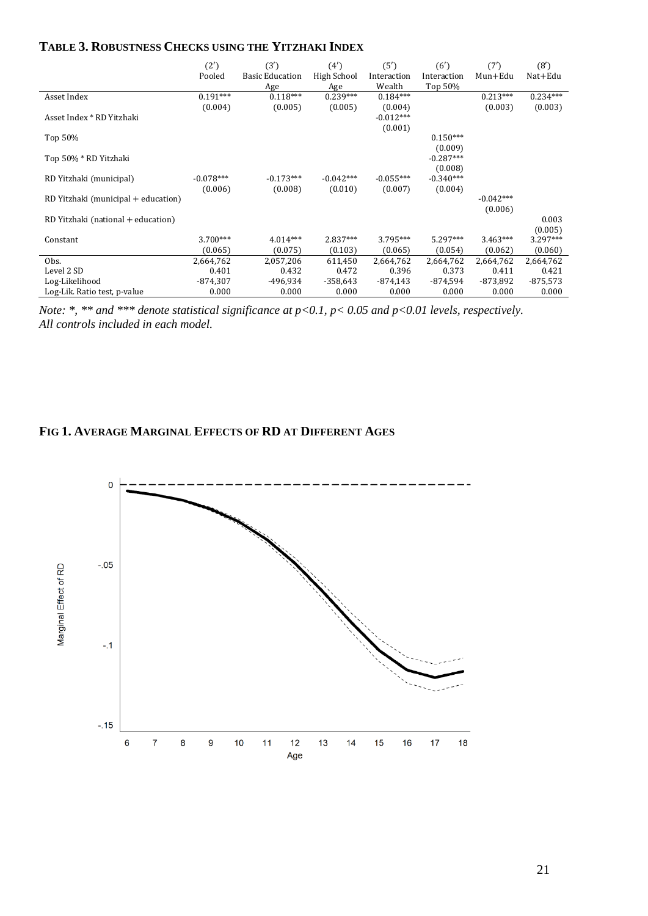### **TABLE 3. ROBUSTNESS CHECKS USING THE YITZHAKI INDEX**

|                                     | (2')        | (3')                   | (4')        | (5')        | (6')        | (7')        | (8')       |
|-------------------------------------|-------------|------------------------|-------------|-------------|-------------|-------------|------------|
|                                     | Pooled      | <b>Basic Education</b> | High School | Interaction | Interaction | Mun+Edu     | Nat+Edu    |
|                                     |             | Age                    | Age         | Wealth      | Top 50%     |             |            |
| Asset Index                         | $0.191***$  | $0.118***$             | $0.239***$  | $0.184***$  |             | $0.213***$  | $0.234***$ |
|                                     | (0.004)     | (0.005)                | (0.005)     | (0.004)     |             | (0.003)     | (0.003)    |
| Asset Index * RD Yitzhaki           |             |                        |             | $-0.012***$ |             |             |            |
|                                     |             |                        |             | (0.001)     |             |             |            |
| Top 50%                             |             |                        |             |             | $0.150***$  |             |            |
|                                     |             |                        |             |             | (0.009)     |             |            |
| Top 50% * RD Yitzhaki               |             |                        |             |             | $-0.287***$ |             |            |
|                                     |             |                        |             |             | (0.008)     |             |            |
| RD Yitzhaki (municipal)             | $-0.078***$ | $-0.173***$            | $-0.042***$ | $-0.055***$ | $-0.340***$ |             |            |
|                                     | (0.006)     | (0.008)                | (0.010)     | (0.007)     | (0.004)     |             |            |
| RD Yitzhaki (municipal + education) |             |                        |             |             |             | $-0.042***$ |            |
|                                     |             |                        |             |             |             | (0.006)     |            |
| RD Yitzhaki (national + education)  |             |                        |             |             |             |             | 0.003      |
|                                     |             |                        |             |             |             |             | (0.005)    |
| Constant                            | $3.700***$  | $4.014***$             | $2.837***$  | 3.795***    | $5.297***$  | $3.463***$  | 3.297***   |
|                                     | (0.065)     | (0.075)                | (0.103)     | (0.065)     | (0.054)     | (0.062)     | (0.060)    |
| Obs.                                | 2,664,762   | 2,057,206              | 611,450     | 2,664,762   | 2,664,762   | 2,664,762   | 2,664,762  |
| Level 2 SD                          | 0.401       | 0.432                  | 0.472       | 0.396       | 0.373       | 0.411       | 0.421      |
| Log-Likelihood                      | $-874,307$  | -496,934               | $-358,643$  | $-874,143$  | -874,594    | -873,892    | $-875,573$ |
| Log-Lik. Ratio test, p-value        | 0.000       | 0.000                  | 0.000       | 0.000       | 0.000       | 0.000       | 0.000      |

*Note: \*, \*\* and \*\*\* denote statistical significance at p<0.1, p< 0.05 and p<0.01 levels, respectively. All controls included in each model.*

## **FIG 1. AVERAGE MARGINAL EFFECTS OF RD AT DIFFERENT AGES**